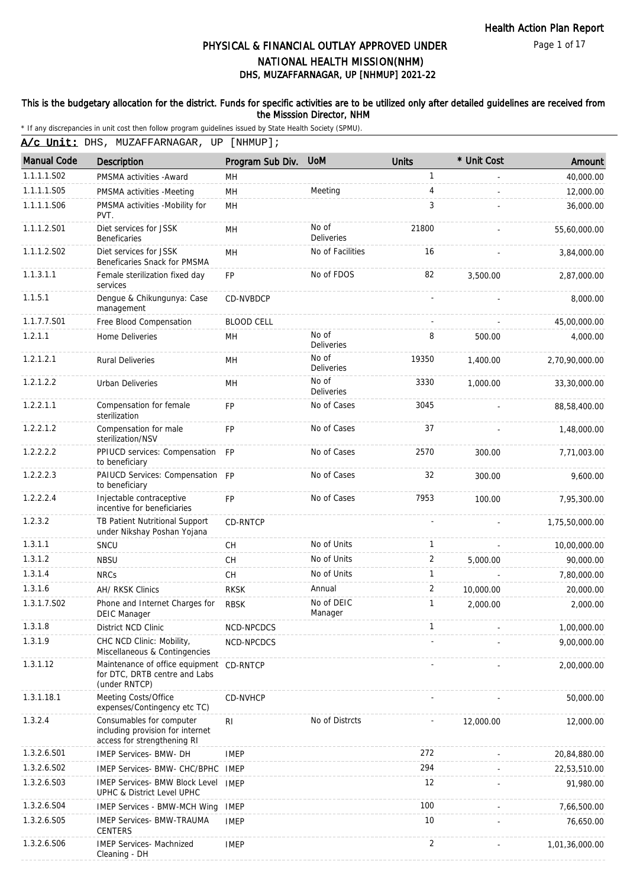Page 1 of 17

# DHS, MUZAFFARNAGAR, UP [NHMUP] 2021-22 PHYSICAL & FINANCIAL OUTLAY APPROVED UNDER NATIONAL HEALTH MISSION(NHM)

#### This is the budgetary allocation for the district. Funds for specific activities are to be utilized only after detailed guidelines are received from the Misssion Director, NHM

|                    | A/c Unit: DHS, MUZAFFARNAGAR, UP [NHMUP];                                                   |                   |                            |                |             |                |  |  |
|--------------------|---------------------------------------------------------------------------------------------|-------------------|----------------------------|----------------|-------------|----------------|--|--|
| <b>Manual Code</b> | Description                                                                                 | Program Sub Div.  | <b>UoM</b>                 | <b>Units</b>   | * Unit Cost | Amount         |  |  |
| 1.1.1.1.S02        | PMSMA activities - Award                                                                    | MН                |                            | 1              |             | 40,000.00      |  |  |
| 1.1.1.1.S05        | PMSMA activities -Meeting                                                                   | MH                | Meeting                    | 4              |             | 12,000.00      |  |  |
| 1.1.1.1.S06        | PMSMA activities -Mobility for<br>PVT.                                                      | MН                |                            | 3              |             | 36,000.00      |  |  |
| 1.1.1.2.S01        | Diet services for JSSK<br><b>Beneficaries</b>                                               | MH                | No of<br>Deliveries        | 21800          |             | 55,60,000.00   |  |  |
| 1.1.1.2.S02        | Diet services for JSSK<br>Beneficaries Snack for PMSMA                                      | MН                | No of Facilities           | 16             |             | 3,84,000.00    |  |  |
| 1.1.3.1.1          | Female sterilization fixed day<br>services                                                  | FP                | No of FDOS                 | 82             | 3,500.00    | 2,87,000.00    |  |  |
| 1.1.5.1            | Dengue & Chikungunya: Case<br>management                                                    | CD-NVBDCP         |                            |                |             | 8,000.00       |  |  |
| 1.1.7.7.S01        | Free Blood Compensation                                                                     | <b>BLOOD CELL</b> |                            |                |             | 45,00,000.00   |  |  |
| 1.2.1.1            | Home Deliveries                                                                             | MН                | No of<br>Deliveries        | 8              | 500.00      | 4,000.00       |  |  |
| 1.2.1.2.1          | <b>Rural Deliveries</b>                                                                     | MН                | No of<br><b>Deliveries</b> | 19350          | 1.400.00    | 2,70,90,000.00 |  |  |
| 1.2.1.2.2          | Urban Deliveries                                                                            | MН                | No of<br><b>Deliveries</b> | 3330           | 1.000.00    | 33,30,000.00   |  |  |
| 1.2.2.1.1          | Compensation for female<br>sterilization                                                    | <b>FP</b>         | No of Cases                | 3045           |             | 88,58,400.00   |  |  |
| 1.2.2.1.2          | Compensation for male<br>sterilization/NSV                                                  | <b>FP</b>         | No of Cases                | 37             |             | 1,48,000.00    |  |  |
| 1.2.2.2.2          | PPIUCD services: Compensation<br>to beneficiary                                             | <b>FP</b>         | No of Cases                | 2570           | 300.00      | 7,71,003.00    |  |  |
| 1.2.2.2.3          | PAIUCD Services: Compensation FP<br>to beneficiary                                          |                   | No of Cases                | 32             | 300.00      | 9,600.00       |  |  |
| 1.2.2.2.4          | Injectable contraceptive<br>incentive for beneficiaries                                     | <b>FP</b>         | No of Cases                | 7953           | 100.00      | 7,95,300.00    |  |  |
| 1.2.3.2            | TB Patient Nutritional Support<br>under Nikshay Poshan Yojana                               | <b>CD-RNTCP</b>   |                            |                |             | 1,75,50,000.00 |  |  |
| 1.3.1.1            | SNCU                                                                                        | <b>CH</b>         | No of Units                | $\mathbf{1}$   |             | 10,00,000.00   |  |  |
| 1.3.1.2            | <b>NBSU</b>                                                                                 | <b>CH</b>         | No of Units                | 2              | 5,000.00    | 90,000.00      |  |  |
| 1.3.1.4            | <b>NRCs</b>                                                                                 | CH                | No of Units                | 1              |             | 7,80,000.00    |  |  |
| 1.3.1.6            | AH/ RKSK Clinics                                                                            | <b>RKSK</b>       | Annual                     | 2              | 10,000.00   | 20,000.00      |  |  |
| 1.3.1.7.S02        | Phone and Internet Charges for<br>DEIC Manager                                              | <b>RBSK</b>       | No of DEIC<br>Manager      | 1              | 2,000.00    | 2,000.00       |  |  |
| 1.3.1.8            | District NCD Clinic                                                                         | NCD-NPCDCS        |                            | 1              |             | 1,00,000.00    |  |  |
| 1.3.1.9            | CHC NCD Clinic: Mobility,<br>Miscellaneous & Contingencies                                  | NCD-NPCDCS        |                            |                |             | 9,00,000.00    |  |  |
| 1.3.1.12           | Maintenance of office equipment CD-RNTCP<br>for DTC, DRTB centre and Labs<br>(under RNTCP)  |                   |                            |                |             | 2,00,000.00    |  |  |
| 1.3.1.18.1         | Meeting Costs/Office<br>expenses/Contingency etc TC)                                        | CD-NVHCP          |                            |                |             | 50,000.00      |  |  |
| 1.3.2.4            | Consumables for computer<br>including provision for internet<br>access for strengthening RI | R <sub>l</sub>    | No of Distrcts             |                | 12,000.00   | 12,000.00      |  |  |
| 1.3.2.6.S01        | IMEP Services- BMW- DH                                                                      | <b>IMEP</b>       |                            | 272            |             | 20,84,880.00   |  |  |
| 1.3.2.6.S02        | IMEP Services- BMW- CHC/BPHC                                                                | IMEP              |                            | 294            |             | 22,53,510.00   |  |  |
| 1.3.2.6.S03        | IMEP Services- BMW Block Level<br>UPHC & District Level UPHC                                | <b>IMEP</b>       |                            | 12             |             | 91,980.00      |  |  |
| 1.3.2.6.S04        | <b>IMEP Services - BMW-MCH Wing</b>                                                         | <b>IMEP</b>       |                            | 100            |             | 7,66,500.00    |  |  |
| 1.3.2.6.S05        | <b>IMEP Services- BMW-TRAUMA</b><br><b>CENTERS</b>                                          | <b>IMEP</b>       |                            | 10             |             | 76,650.00      |  |  |
| 1.3.2.6.S06        | <b>IMEP Services- Machnized</b><br>Cleaning - DH                                            | <b>IMEP</b>       |                            | $\overline{c}$ |             | 1,01,36,000.00 |  |  |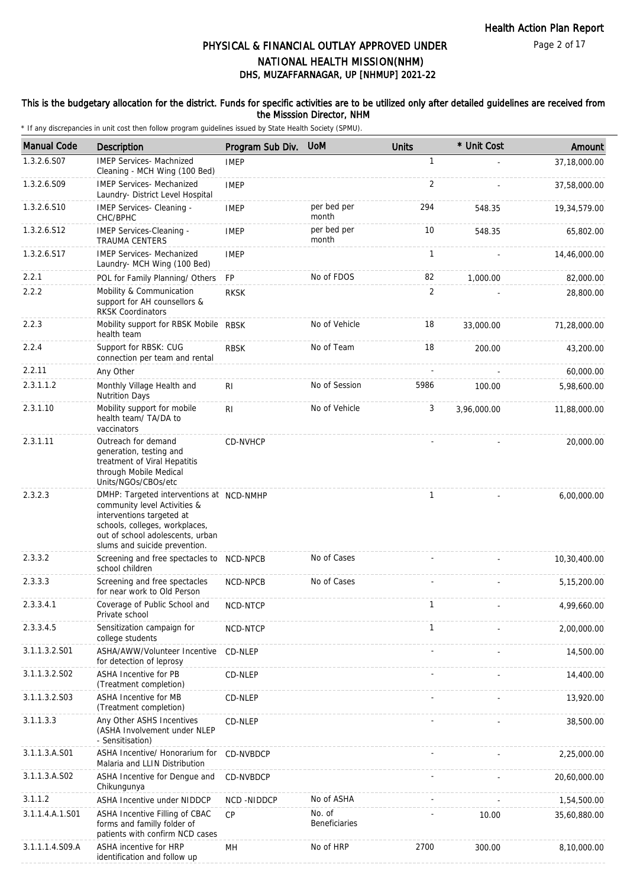### This is the budgetary allocation for the district. Funds for specific activities are to be utilized only after detailed guidelines are received from the Misssion Director, NHM

| <b>Manual Code</b> | Description                                                                                                                                                                                                  | Program Sub Div. | <b>UoM</b>              | <b>Units</b> | * Unit Cost | Amount       |
|--------------------|--------------------------------------------------------------------------------------------------------------------------------------------------------------------------------------------------------------|------------------|-------------------------|--------------|-------------|--------------|
| 1.3.2.6.S07        | <b>IMEP Services- Machnized</b><br>Cleaning - MCH Wing (100 Bed)                                                                                                                                             | <b>IMEP</b>      |                         | 1            |             | 37,18,000.00 |
| 1.3.2.6.S09        | <b>IMEP Services- Mechanized</b><br>Laundry- District Level Hospital                                                                                                                                         | <b>IMEP</b>      |                         | 2            |             | 37,58,000.00 |
| 1.3.2.6.S10        | IMEP Services- Cleaning -<br>CHC/BPHC                                                                                                                                                                        | <b>IMEP</b>      | per bed per<br>month    | 294          | 548.35      | 19,34,579.00 |
| 1.3.2.6.S12        | IMEP Services-Cleaning -<br><b>TRAUMA CENTERS</b>                                                                                                                                                            | <b>IMEP</b>      | per bed per<br>month    | 10           | 548.35      | 65,802.00    |
| 1.3.2.6.S17        | <b>IMEP Services- Mechanized</b><br>Laundry- MCH Wing (100 Bed)                                                                                                                                              | <b>IMEP</b>      |                         | $\mathbf{1}$ |             | 14,46,000.00 |
| 2.2.1              | POL for Family Planning/ Others                                                                                                                                                                              | <b>FP</b>        | No of FDOS              | 82           | 1,000.00    | 82,000.00    |
| 2.2.2              | Mobility & Communication<br>support for AH counsellors &<br><b>RKSK Coordinators</b>                                                                                                                         | <b>RKSK</b>      |                         | 2            |             | 28,800.00    |
| 2.2.3              | Mobility support for RBSK Mobile RBSK<br>health team                                                                                                                                                         |                  | No of Vehicle           | 18           | 33,000.00   | 71,28,000.00 |
| 2.2.4              | Support for RBSK: CUG<br>connection per team and rental                                                                                                                                                      | <b>RBSK</b>      | No of Team              | 18           | 200.00      | 43,200.00    |
| 2.2.11             | Any Other                                                                                                                                                                                                    |                  |                         |              |             | 60,000.00    |
| 2.3.1.1.2          | Monthly Village Health and<br><b>Nutrition Days</b>                                                                                                                                                          | R <sub>l</sub>   | No of Session           | 5986         | 100.00      | 5,98,600.00  |
| 2.3.1.10           | Mobility support for mobile<br>health team/ TA/DA to<br>vaccinators                                                                                                                                          | R <sub>1</sub>   | No of Vehicle           | 3            | 3,96,000.00 | 11,88,000.00 |
| 2.3.1.11           | Outreach for demand<br>generation, testing and<br>treatment of Viral Hepatitis<br>through Mobile Medical<br>Units/NGOs/CBOs/etc                                                                              | CD-NVHCP         |                         |              |             | 20,000.00    |
| 2.3.2.3            | DMHP: Targeted interventions at NCD-NMHP<br>community level Activities &<br>interventions targeted at<br>schools, colleges, workplaces,<br>out of school adolescents, urban<br>slums and suicide prevention. |                  |                         | 1            |             | 6,00,000.00  |
| 2.3.3.2            | Screening and free spectacles to NCD-NPCB<br>school children                                                                                                                                                 |                  | No of Cases             |              |             | 10,30,400.00 |
| 2.3.3.3            | Screening and free spectacles<br>for near work to Old Person                                                                                                                                                 | NCD-NPCB         | No of Cases             |              |             | 5,15,200.00  |
| 2.3.3.4.1          | Coverage of Public School and<br>Private school                                                                                                                                                              | NCD-NTCP         |                         | 1            |             | 4,99,660.00  |
| 2.3.3.4.5          | Sensitization campaign for<br>college students                                                                                                                                                               | <b>NCD-NTCP</b>  |                         | 1            |             | 2,00,000.00  |
| 3.1.1.3.2.S01      | ASHA/AWW/Volunteer Incentive<br>for detection of leprosy                                                                                                                                                     | CD-NLEP          |                         |              |             | 14,500.00    |
| 3.1.1.3.2.S02      | <b>ASHA Incentive for PB</b><br>(Treatment completion)                                                                                                                                                       | CD-NLEP          |                         |              |             | 14,400.00    |
| 3.1.1.3.2.S03      | <b>ASHA Incentive for MB</b><br>(Treatment completion)                                                                                                                                                       | CD-NLEP          |                         |              |             | 13,920.00    |
| 3.1.1.3.3          | Any Other ASHS Incentives<br>(ASHA Involvement under NLEP<br>- Sensitisation)                                                                                                                                | CD-NLEP          |                         |              |             | 38,500.00    |
| 3.1.1.3.A.S01      | ASHA Incentive/ Honorarium for<br>Malaria and LLIN Distribution                                                                                                                                              | CD-NVBDCP        |                         |              |             | 2,25,000.00  |
| 3.1.1.3.A.S02      | ASHA Incentive for Dengue and<br>Chikungunya                                                                                                                                                                 | CD-NVBDCP        |                         |              |             | 20,60,000.00 |
| 3.1.1.2            | ASHA Incentive under NIDDCP                                                                                                                                                                                  | NCD-NIDDCP       | No of ASHA              |              |             | 1,54,500.00  |
| 3.1.1.4.A.1.S01    | ASHA Incentive Filling of CBAC<br>forms and familly folder of<br>patients with confirm NCD cases                                                                                                             | CP               | No. of<br>Beneficiaries |              | 10.00       | 35,60,880.00 |
| 3.1.1.1.4.S09.A    | ASHA incentive for HRP<br>identification and follow up                                                                                                                                                       | MН               | No of HRP               | 2700         | 300.00      | 8,10,000.00  |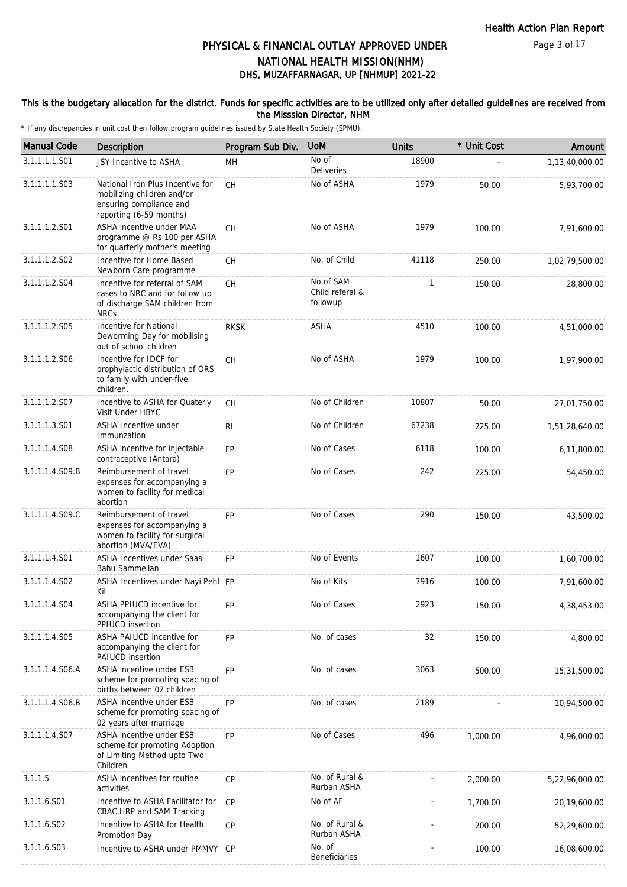### This is the budgetary allocation for the district. Funds for specific activities are to be utilized only after detailed guidelines are received from the Misssion Director, NHM

| <b>Manual Code</b> | Description                                                                                                          | Program Sub Div. | <b>UoM</b>                               | <b>Units</b> | * Unit Cost | Amount         |
|--------------------|----------------------------------------------------------------------------------------------------------------------|------------------|------------------------------------------|--------------|-------------|----------------|
| 3.1.1.1.1.S01      | JSY Incentive to ASHA                                                                                                | MН               | No of<br><b>Deliveries</b>               | 18900        |             | 1,13,40,000.00 |
| 3.1.1.1.1.S03      | National Iron Plus Incentive for<br>mobilizing children and/or<br>ensuring compliance and<br>reporting (6-59 months) | <b>CH</b>        | No of ASHA                               | 1979         | 50.00       | 5,93,700.00    |
| 3.1.1.1.2.S01      | ASHA incentive under MAA<br>programme @ Rs 100 per ASHA<br>for quarterly mother's meeting                            | CH               | No of ASHA                               | 1979         | 100.00      | 7,91,600.00    |
| 3.1.1.1.2.S02      | Incentive for Home Based<br>Newborn Care programme                                                                   | CH               | No. of Child                             | 41118        | 250.00      | 1,02,79,500.00 |
| 3.1.1.1.2.S04      | Incentive for referral of SAM<br>cases to NRC and for follow up<br>of discharge SAM children from<br><b>NRCs</b>     | CH               | No.of SAM<br>Child referal &<br>followup | 1            | 150.00      | 28,800.00      |
| 3.1.1.1.2.S05      | Incentive for National<br>Deworming Day for mobilising<br>out of school children                                     | <b>RKSK</b>      | <b>ASHA</b>                              | 4510         | 100.00      | 4,51,000.00    |
| 3.1.1.1.2.S06      | Incentive for IDCF for<br>prophylactic distribution of ORS<br>to family with under-five<br>children.                 | CH               | No of ASHA                               | 1979         | 100.00      | 1,97,900.00    |
| 3.1.1.1.2.S07      | Incentive to ASHA for Quaterly<br>Visit Under HBYC                                                                   | CH               | No of Children                           | 10807        | 50.00       | 27,01,750.00   |
| 3.1.1.1.3.S01      | <b>ASHA Incentive under</b><br>Immunzation                                                                           | R <sub>1</sub>   | No of Children                           | 67238        | 225.00      | 1,51,28,640.00 |
| 3.1.1.1.4.S08      | ASHA incentive for injectable<br>contraceptive (Antara)                                                              | <b>FP</b>        | No of Cases                              | 6118         | 100.00      | 6,11,800.00    |
| 3.1.1.1.4.S09.B    | Reimbursement of travel<br>expenses for accompanying a<br>women to facility for medical<br>abortion                  | <b>FP</b>        | No of Cases                              | 242          | 225.00      | 54,450.00      |
| 3.1.1.1.4.S09.C    | Reimbursement of travel<br>expenses for accompanying a<br>women to facility for surgical<br>abortion (MVA/EVA)       | <b>FP</b>        | No of Cases                              | 290          | 150.00      | 43,500.00      |
| 3.1.1.1.4.S01      | ASHA Incentives under Saas<br>Bahu Sammellan                                                                         | <b>FP</b>        | No of Events                             | 1607         | 100.00      | 1,60,700.00    |
| 3.1.1.1.4.S02      | ASHA Incentives under Nayi Pehl FP<br>Kit                                                                            |                  | No of Kits                               | 7916         | 100.00      | 7,91,600.00    |
| 3.1.1.1.4.S04      | ASHA PPIUCD incentive for<br>accompanying the client for<br>PPIUCD insertion                                         | FP               | No of Cases                              | 2923         | 150.00      | 4,38,453.00    |
| 3.1.1.1.4.S05      | ASHA PAIUCD incentive for<br>accompanying the client for<br>PAIUCD insertion                                         | <b>FP</b>        | No. of cases                             | 32           | 150.00      | 4,800.00       |
| 3.1.1.1.4.S06.A    | ASHA incentive under ESB<br>scheme for promoting spacing of<br>births between 02 children                            | <b>FP</b>        | No. of cases                             | 3063         | 500.00      | 15,31,500.00   |
| 3.1.1.1.4.S06.B    | ASHA incentive under ESB<br>scheme for promoting spacing of<br>02 years after marriage                               | <b>FP</b>        | No. of cases                             | 2189         |             | 10,94,500.00   |
| 3.1.1.1.4.S07      | ASHA incentive under ESB<br>scheme for promoting Adoption<br>of Limiting Method upto Two<br>Children                 | <b>FP</b>        | No of Cases                              | 496          | 1,000.00    | 4,96,000.00    |
| 3.1.1.5            | ASHA incentives for routine<br>activities                                                                            | CP               | No. of Rural &<br>Rurban ASHA            |              | 2,000.00    | 5,22,96,000.00 |
| 3.1.1.6.S01        | Incentive to ASHA Facilitator for<br>CBAC, HRP and SAM Tracking                                                      | <b>CP</b>        | No of AF                                 |              | 1,700.00    | 20,19,600.00   |
| 3.1.1.6.S02        | Incentive to ASHA for Health<br>Promotion Day                                                                        | <b>CP</b>        | No. of Rural &<br>Rurban ASHA            |              | 200.00      | 52,29,600.00   |
| 3.1.1.6.S03        | Incentive to ASHA under PMMVY CP                                                                                     |                  | No. of<br>Beneficiaries                  |              | 100.00      | 16,08,600.00   |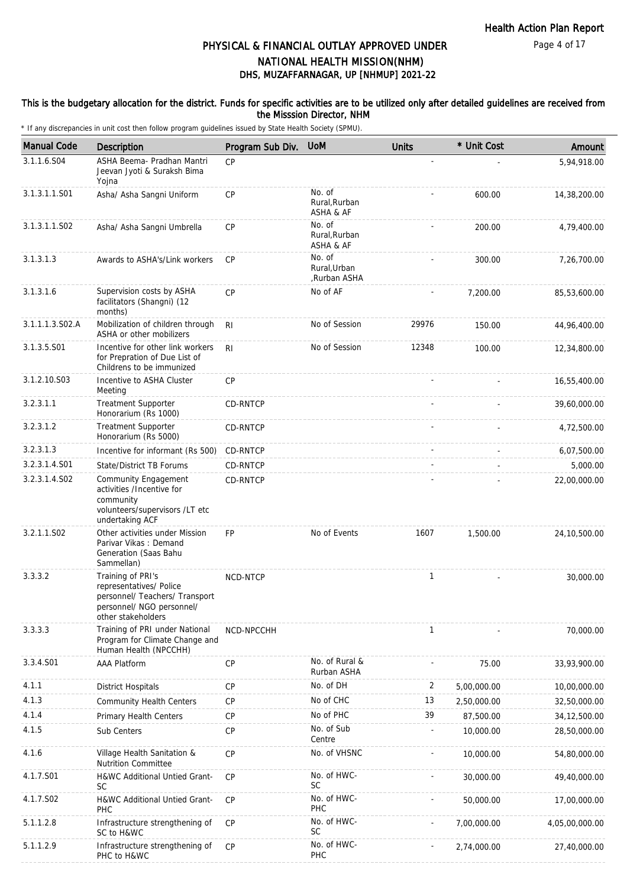### This is the budgetary allocation for the district. Funds for specific activities are to be utilized only after detailed guidelines are received from the Misssion Director, NHM

| <b>Manual Code</b> | Description                                                                                                                       | Program Sub Div. | <b>UoM</b>                             | <b>Units</b> | * Unit Cost | Amount         |
|--------------------|-----------------------------------------------------------------------------------------------------------------------------------|------------------|----------------------------------------|--------------|-------------|----------------|
| 3.1.1.6.S04        | ASHA Beema- Pradhan Mantri<br>Jeevan Jyoti & Suraksh Bima<br>Yojna                                                                | CP               |                                        |              |             | 5,94,918.00    |
| 3.1.3.1.1.S01      | Asha/ Asha Sangni Uniform                                                                                                         | <b>CP</b>        | No. of<br>Rural, Rurban<br>ASHA & AF   |              | 600.00      | 14,38,200.00   |
| 3.1.3.1.1.S02      | Asha/ Asha Sangni Umbrella                                                                                                        | CP               | No. of<br>Rural, Rurban<br>ASHA & AF   |              | 200.00      | 4,79,400.00    |
| 3.1.3.1.3          | Awards to ASHA's/Link workers                                                                                                     | CP               | No. of<br>Rural, Urban<br>,Rurban ASHA |              | 300.00      | 7,26,700.00    |
| 3.1.3.1.6          | Supervision costs by ASHA<br>facilitators (Shangni) (12<br>months)                                                                | CP               | No of AF                               |              | 7,200.00    | 85,53,600.00   |
| 3.1.1.1.3.S02.A    | Mobilization of children through<br>ASHA or other mobilizers                                                                      | R <sub>l</sub>   | No of Session                          | 29976        | 150.00      | 44,96,400.00   |
| 3.1.3.5.S01        | Incentive for other link workers<br>for Prepration of Due List of<br>Childrens to be immunized                                    | R <sub>l</sub>   | No of Session                          | 12348        | 100.00      | 12,34,800.00   |
| 3.1.2.10.S03       | Incentive to ASHA Cluster<br>Meeting                                                                                              | CP               |                                        |              |             | 16,55,400.00   |
| 3.2.3.1.1          | <b>Treatment Supporter</b><br>Honorarium (Rs 1000)                                                                                | <b>CD-RNTCP</b>  |                                        |              |             | 39,60,000.00   |
| 3.2.3.1.2          | <b>Treatment Supporter</b><br>Honorarium (Rs 5000)                                                                                | CD-RNTCP         |                                        |              |             | 4,72,500.00    |
| 3.2.3.1.3          | Incentive for informant (Rs 500)                                                                                                  | CD-RNTCP         |                                        |              |             | 6,07,500.00    |
| 3.2.3.1.4.S01      | State/District TB Forums                                                                                                          | CD-RNTCP         |                                        |              |             | 5,000.00       |
| 3.2.3.1.4.S02      | Community Engagement<br>activities /Incentive for<br>community<br>volunteers/supervisors /LT etc<br>undertaking ACF               | CD-RNTCP         |                                        |              |             | 22,00,000.00   |
| 3.2.1.1.S02        | Other activities under Mission<br>Parivar Vikas: Demand<br>Generation (Saas Bahu<br>Sammellan)                                    | <b>FP</b>        | No of Events                           | 1607         | 1,500.00    | 24,10,500.00   |
| 3.3.3.2            | Training of PRI's<br>representatives/ Police<br>personnel/ Teachers/ Transport<br>personnel/ NGO personnel/<br>other stakeholders | NCD-NTCP         |                                        | $\mathbf{1}$ |             | 30,000.00      |
| 3.3.3.3            | Training of PRI under National<br>Program for Climate Change and<br>Human Health (NPCCHH)                                         | NCD-NPCCHH       |                                        | 1            |             | 70,000.00      |
| 3.3.4.S01          | <b>AAA Platform</b>                                                                                                               | CP               | No. of Rural &<br>Rurban ASHA          |              | 75.00       | 33,93,900.00   |
| 4.1.1              | <b>District Hospitals</b>                                                                                                         | CP               | No. of DH                              | 2            | 5,00,000.00 | 10,00,000.00   |
| 4.1.3              | <b>Community Health Centers</b>                                                                                                   | <b>CP</b>        | No of CHC                              | 13           | 2,50,000.00 | 32,50,000.00   |
| 4.1.4              | Primary Health Centers                                                                                                            | <b>CP</b>        | No of PHC                              | 39           | 87,500.00   | 34, 12, 500.00 |
| 4.1.5              | Sub Centers                                                                                                                       | <b>CP</b>        | No. of Sub<br>Centre                   |              | 10,000.00   | 28,50,000.00   |
| 4.1.6              | Village Health Sanitation &<br>Nutrition Committee                                                                                | CP               | No. of VHSNC                           |              | 10,000.00   | 54,80,000.00   |
| 4.1.7.S01          | H&WC Additional Untied Grant-<br>SC                                                                                               | <b>CP</b>        | No. of HWC-<br><b>SC</b>               |              | 30,000.00   | 49,40,000.00   |
| 4.1.7.S02          | H&WC Additional Untied Grant-<br>PHC                                                                                              | <b>CP</b>        | No. of HWC-<br>PHC                     |              | 50,000.00   | 17,00,000.00   |
| 5.1.1.2.8          | Infrastructure strengthening of<br>SC to H&WC                                                                                     | <b>CP</b>        | No. of HWC-<br><b>SC</b>               |              | 7,00,000.00 | 4,05,00,000.00 |
| 5.1.1.2.9          | Infrastructure strengthening of<br>PHC to H&WC                                                                                    | CP               | No. of HWC-<br>PHC                     |              | 2,74,000.00 | 27,40,000.00   |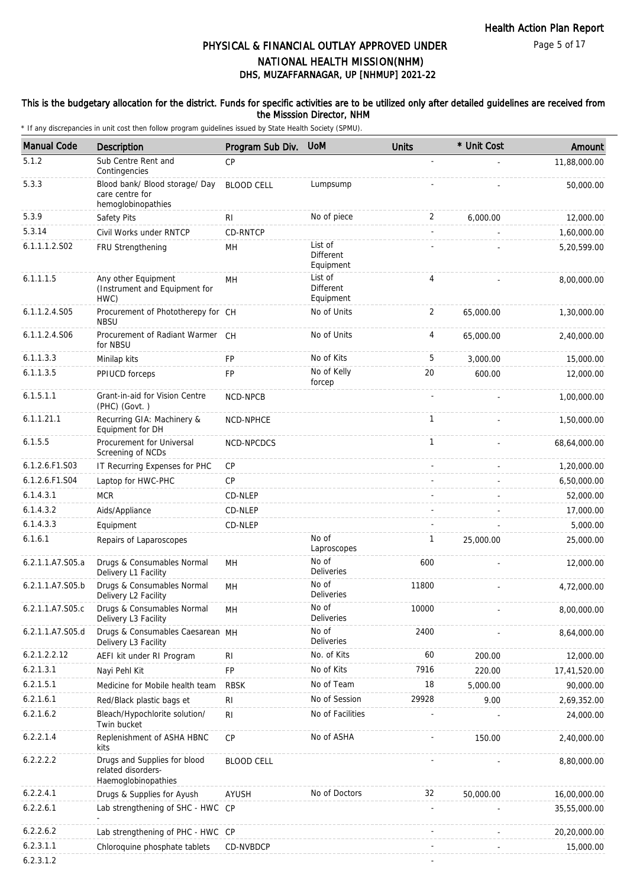Page 5 of 17

# DHS, MUZAFFARNAGAR, UP [NHMUP] 2021-22 PHYSICAL & FINANCIAL OUTLAY APPROVED UNDER NATIONAL HEALTH MISSION(NHM)

### This is the budgetary allocation for the district. Funds for specific activities are to be utilized only after detailed guidelines are received from the Misssion Director, NHM

| <b>Manual Code</b> | <b>Description</b>                                                        | Program Sub Div.  | <b>UoM</b>                               | <b>Units</b>   | * Unit Cost | Amount       |
|--------------------|---------------------------------------------------------------------------|-------------------|------------------------------------------|----------------|-------------|--------------|
| 5.1.2              | Sub Centre Rent and<br>Contingencies                                      | CP                |                                          |                |             | 11,88,000.00 |
| 5.3.3              | Blood bank/ Blood storage/ Day<br>care centre for<br>hemoglobinopathies   | <b>BLOOD CELL</b> | Lumpsump                                 |                |             | 50,000.00    |
| 5.3.9              | Safety Pits                                                               | RI                | No of piece                              | 2              | 6,000.00    | 12,000.00    |
| 5.3.14             | Civil Works under RNTCP                                                   | CD-RNTCP          |                                          |                |             | 1,60,000.00  |
| 6.1.1.1.2.S02      | FRU Strengthening                                                         | MH                | List of<br><b>Different</b><br>Equipment |                |             | 5,20,599.00  |
| 6.1.1.1.5          | Any other Equipment<br>(Instrument and Equipment for<br>HWC)              | MH                | List of<br>Different<br>Equipment        | 4              |             | 8,00,000.00  |
| 6.1.1.2.4.S05      | Procurement of Phototherepy for CH<br><b>NBSU</b>                         |                   | No of Units                              | $\overline{2}$ | 65,000.00   | 1,30,000.00  |
| 6.1.1.2.4.S06      | Procurement of Radiant Warmer CH<br>for NBSU                              |                   | No of Units                              | 4              | 65,000.00   | 2,40,000.00  |
| 6.1.1.3.3          | Minilap kits                                                              | <b>FP</b>         | No of Kits                               | 5              | 3,000.00    | 15,000.00    |
| 6.1.1.3.5          | PPIUCD forceps                                                            | FP                | No of Kelly<br>forcep                    | 20             | 600.00      | 12,000.00    |
| 6.1.5.1.1          | Grant-in-aid for Vision Centre<br>(PHC) (Govt.)                           | NCD-NPCB          |                                          |                |             | 1,00,000.00  |
| 6.1.1.21.1         | Recurring GIA: Machinery &<br>Equipment for DH                            | NCD-NPHCE         |                                          | $\mathbf{1}$   |             | 1,50,000.00  |
| 6.1.5.5            | Procurement for Universal<br>Screening of NCDs                            | NCD-NPCDCS        |                                          | $\mathbf{1}$   |             | 68,64,000.00 |
| 6.1.2.6.F1.S03     | IT Recurring Expenses for PHC                                             | CP                |                                          |                |             | 1,20,000.00  |
| 6.1.2.6.F1.S04     | Laptop for HWC-PHC                                                        | <b>CP</b>         |                                          |                |             | 6,50,000.00  |
| 6.1.4.3.1          | <b>MCR</b>                                                                | CD-NLEP           |                                          |                |             | 52,000.00    |
| 6.1.4.3.2          | Aids/Appliance                                                            | CD-NLEP           |                                          |                |             | 17,000.00    |
| 6.1.4.3.3          | Equipment                                                                 | CD-NLEP           |                                          |                |             | 5,000.00     |
| 6.1.6.1            | Repairs of Laparoscopes                                                   |                   | No of<br>Laproscopes                     | 1              | 25,000.00   | 25,000.00    |
| 6.2.1.1.A7.S05.a   | Drugs & Consumables Normal<br>Delivery L1 Facility                        | MH                | No of<br><b>Deliveries</b>               | 600            |             | 12,000.00    |
| 6.2.1.1.A7.S05.b   | Drugs & Consumables Normal<br>Delivery L2 Facility                        | MН                | No of<br><b>Deliveries</b>               | 11800          |             | 4,72,000.00  |
| 6.2.1.1.A7.S05.c   | Drugs & Consumables Normal<br>Delivery L3 Facility                        | MH                | No of<br>Deliveries                      | 10000          |             | 8,00,000.00  |
| 6.2.1.1.A7.S05.d   | Drugs & Consumables Caesarean MH<br>Delivery L3 Facility                  |                   | No of<br><b>Deliveries</b>               | 2400           |             | 8,64,000.00  |
| 6.2.1.2.2.12       | AEFI kit under RI Program                                                 | <b>RI</b>         | No. of Kits                              | 60             | 200.00      | 12,000.00    |
| 6.2.1.3.1          | Nayi Pehl Kit                                                             | <b>FP</b>         | No of Kits                               | 7916           | 220.00      | 17,41,520.00 |
| 6.2.1.5.1          | Medicine for Mobile health team                                           | <b>RBSK</b>       | No of Team                               | 18             | 5,000.00    | 90,000.00    |
| 6.2.1.6.1          | Red/Black plastic bags et                                                 | RI                | No of Session                            | 29928          | 9.00        | 2,69,352.00  |
| 6.2.1.6.2          | Bleach/Hypochlorite solution/<br>Twin bucket                              | <b>RI</b>         | No of Facilities                         |                |             | 24,000.00    |
| 6.2.2.1.4          | Replenishment of ASHA HBNC<br>kits                                        | <b>CP</b>         | No of ASHA                               |                | 150.00      | 2,40,000.00  |
| 6.2.2.2.2          | Drugs and Supplies for blood<br>related disorders-<br>Haemoglobinopathies | <b>BLOOD CELL</b> |                                          |                |             | 8,80,000.00  |
| 6.2.2.4.1          | Drugs & Supplies for Ayush                                                | <b>AYUSH</b>      | No of Doctors                            | 32             | 50,000.00   | 16,00,000.00 |
| 6.2.2.6.1          | Lab strengthening of SHC - HWC CP                                         |                   |                                          |                |             | 35,55,000.00 |
| 6.2.2.6.2          | Lab strengthening of PHC - HWC CP                                         |                   |                                          |                |             | 20,20,000.00 |
| 6.2.3.1.1          | Chloroquine phosphate tablets                                             | CD-NVBDCP         |                                          |                |             | 15,000.00    |
| 6.2.3.1.2          |                                                                           |                   |                                          |                |             |              |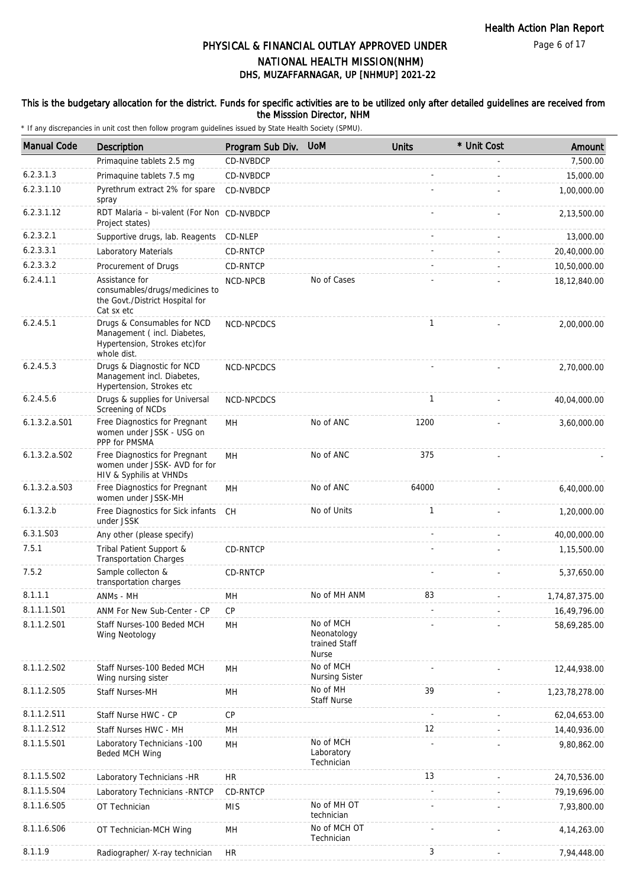Page 6 of 17

# DHS, MUZAFFARNAGAR, UP [NHMUP] 2021-22 PHYSICAL & FINANCIAL OUTLAY APPROVED UNDER NATIONAL HEALTH MISSION(NHM)

### This is the budgetary allocation for the district. Funds for specific activities are to be utilized only after detailed guidelines are received from the Misssion Director, NHM

| <b>Manual Code</b> | Description                                                                                                | Program Sub Div. | <b>UoM</b>                                                | <b>Units</b>             | * Unit Cost | Amount         |
|--------------------|------------------------------------------------------------------------------------------------------------|------------------|-----------------------------------------------------------|--------------------------|-------------|----------------|
|                    | Primaquine tablets 2.5 mg                                                                                  | CD-NVBDCP        |                                                           |                          |             | 7,500.00       |
| 6.2.3.1.3          | Primaquine tablets 7.5 mg                                                                                  | CD-NVBDCP        |                                                           |                          |             | 15,000.00      |
| 6.2.3.1.10         | Pyrethrum extract 2% for spare<br>spray                                                                    | CD-NVBDCP        |                                                           |                          |             | 1,00,000.00    |
| 6.2.3.1.12         | RDT Malaria - bi-valent (For Non CD-NVBDCP<br>Project states)                                              |                  |                                                           |                          |             | 2,13,500.00    |
| 6.2.3.2.1          | Supportive drugs, lab. Reagents                                                                            | CD-NLEP          |                                                           |                          |             | 13,000.00      |
| 6.2.3.3.1          | Laboratory Materials                                                                                       | <b>CD-RNTCP</b>  |                                                           |                          |             | 20,40,000.00   |
| 6.2.3.3.2          | Procurement of Drugs                                                                                       | CD-RNTCP         |                                                           |                          |             | 10,50,000.00   |
| 6.2.4.1.1          | Assistance for<br>consumables/drugs/medicines to<br>the Govt./District Hospital for<br>Cat sx etc          | NCD-NPCB         | No of Cases                                               |                          |             | 18,12,840.00   |
| 6.2.4.5.1          | Drugs & Consumables for NCD<br>Management (incl. Diabetes,<br>Hypertension, Strokes etc)for<br>whole dist. | NCD-NPCDCS       |                                                           | $\mathbf{1}$             |             | 2,00,000.00    |
| 6.2.4.5.3          | Drugs & Diagnostic for NCD<br>Management incl. Diabetes,<br>Hypertension, Strokes etc                      | NCD-NPCDCS       |                                                           |                          |             | 2,70,000.00    |
| 6.2.4.5.6          | Drugs & supplies for Universal<br>Screening of NCDs                                                        | NCD-NPCDCS       |                                                           | $\mathbf{1}$             |             | 40,04,000.00   |
| $6.1.3.2.a.$ S01   | Free Diagnostics for Pregnant<br>women under JSSK - USG on<br>PPP for PMSMA                                | MН               | No of ANC                                                 | 1200                     |             | 3,60,000.00    |
| $6.1.3.2.a.$ SO2   | Free Diagnostics for Pregnant<br>women under JSSK- AVD for for<br>HIV & Syphilis at VHNDs                  | MH               | No of ANC                                                 | 375                      |             |                |
| 6.1.3.2.a.S03      | Free Diagnostics for Pregnant<br>women under JSSK-MH                                                       | MН               | No of ANC                                                 | 64000                    |             | 6,40,000.00    |
| 6.1.3.2.b          | Free Diagnostics for Sick infants<br>under JSSK                                                            | CH               | No of Units                                               | 1                        |             | 1,20,000.00    |
| 6.3.1.S03          | Any other (please specify)                                                                                 |                  |                                                           |                          |             | 40,00,000.00   |
| 7.5.1              | Tribal Patient Support &<br><b>Transportation Charges</b>                                                  | CD-RNTCP         |                                                           |                          |             | 1,15,500.00    |
| 7.5.2              | Sample collecton &<br>transportation charges                                                               | CD-RNTCP         |                                                           |                          |             | 5,37,650.00    |
| 8.1.1.1            | ANMs - MH                                                                                                  | MН               | No of MH ANM                                              | 83                       |             | 1,74,87,375.00 |
| 8.1.1.1.S01        | ANM For New Sub-Center - CP                                                                                | <b>CP</b>        |                                                           |                          |             | 16,49,796.00   |
| 8.1.1.2.S01        | Staff Nurses-100 Beded MCH<br>Wing Neotology                                                               | MH               | No of MCH<br>Neonatology<br>trained Staff<br><b>Nurse</b> |                          |             | 58,69,285.00   |
| 8.1.1.2.S02        | Staff Nurses-100 Beded MCH<br>Wing nursing sister                                                          | MH               | No of MCH<br>Nursing Sister                               |                          |             | 12,44,938.00   |
| 8.1.1.2.S05        | Staff Nurses-MH                                                                                            | MН               | No of MH<br><b>Staff Nurse</b>                            | 39                       |             | 1,23,78,278.00 |
| 8.1.1.2.S11        | Staff Nurse HWC - CP                                                                                       | CP               |                                                           | $\overline{\phantom{a}}$ |             | 62,04,653.00   |
| 8.1.1.2.S12        | Staff Nurses HWC - MH                                                                                      | MН               |                                                           | 12                       |             | 14,40,936.00   |
| 8.1.1.5.S01        | Laboratory Technicians -100<br>Beded MCH Wing                                                              | MH               | No of MCH<br>Laboratory<br>Technician                     |                          |             | 9,80,862.00    |
| 8.1.1.5.S02        | Laboratory Technicians - HR                                                                                | <b>HR</b>        |                                                           | 13                       |             | 24,70,536.00   |
| 8.1.1.5.S04        | Laboratory Technicians - RNTCP                                                                             | CD-RNTCP         |                                                           |                          |             | 79,19,696.00   |
| 8.1.1.6.S05        | OT Technician                                                                                              | <b>MIS</b>       | No of MH OT<br>technician                                 |                          |             | 7,93,800.00    |
| 8.1.1.6.S06        | OT Technician-MCH Wing                                                                                     | MH               | No of MCH OT<br>Technician                                |                          |             | 4, 14, 263.00  |
| 8.1.1.9            | Radiographer/ X-ray technician                                                                             | <b>HR</b>        |                                                           | 3                        |             | 7,94,448.00    |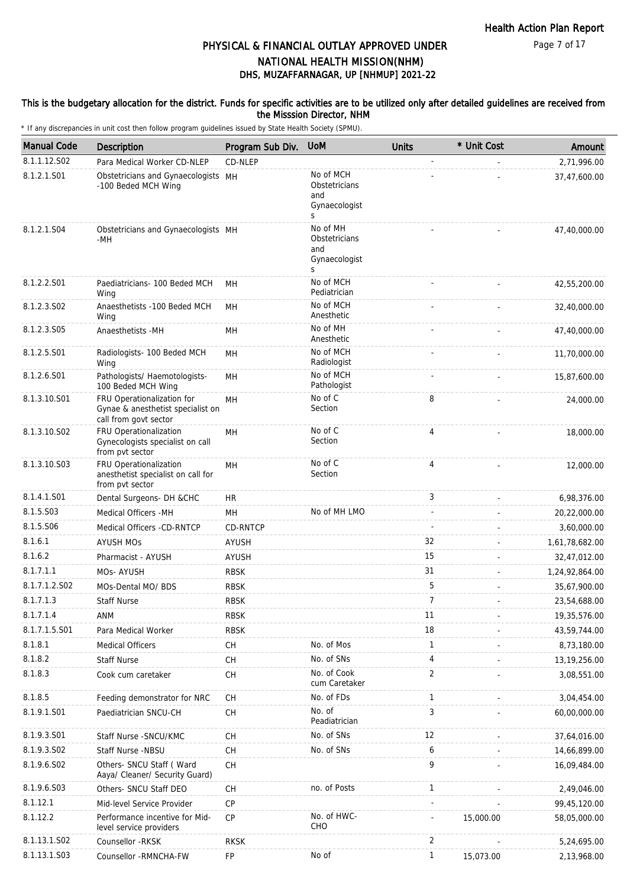### This is the budgetary allocation for the district. Funds for specific activities are to be utilized only after detailed guidelines are received from the Misssion Director, NHM

| <b>Manual Code</b>      | Description                                                                              | Program Sub Div. | <b>UoM</b>                                              | <b>Units</b>   | * Unit Cost | Amount         |
|-------------------------|------------------------------------------------------------------------------------------|------------------|---------------------------------------------------------|----------------|-------------|----------------|
| 8.1.1.12.S02            | Para Medical Worker CD-NLEP                                                              | CD-NLEP          |                                                         |                |             | 2,71,996.00    |
| 8.1.2.1.S01             | Obstetricians and Gynaecologists MH<br>-100 Beded MCH Wing                               |                  | No of MCH<br>Obstetricians<br>and<br>Gynaecologist<br>S |                |             | 37,47,600.00   |
| 8.1.2.1.S04             | Obstetricians and Gynaecologists MH<br>-MH                                               |                  | No of MH<br>Obstetricians<br>and<br>Gynaecologist<br>S  |                |             | 47,40,000.00   |
| 8.1.2.2.S01             | Paediatricians- 100 Beded MCH<br>Wing                                                    | MH               | No of MCH<br>Pediatrician                               |                |             | 42,55,200.00   |
| 8.1.2.3.SO <sub>2</sub> | Anaesthetists - 100 Beded MCH<br>Wing                                                    | MH               | No of MCH<br>Anesthetic                                 |                |             | 32,40,000.00   |
| 8.1.2.3.S05             | Anaesthetists -MH                                                                        | MH               | No of MH<br>Anesthetic                                  |                |             | 47,40,000.00   |
| 8.1.2.5.S01             | Radiologists- 100 Beded MCH<br>Wing                                                      | MH               | No of MCH<br>Radiologist                                |                |             | 11,70,000.00   |
| 8.1.2.6.S01             | Pathologists/ Haemotologists-<br>100 Beded MCH Wing                                      | MH               | No of MCH<br>Pathologist                                |                |             | 15,87,600.00   |
| 8.1.3.10.S01            | FRU Operationalization for<br>Gynae & anesthetist specialist on<br>call from govt sector | MH               | No of C<br>Section                                      | 8              |             | 24,000.00      |
| 8.1.3.10.S02            | FRU Operationalization<br>Gynecologists specialist on call<br>from pvt sector            | MH               | No of C<br>Section                                      | 4              |             | 18,000.00      |
| 8.1.3.10.S03            | FRU Operationalization<br>anesthetist specialist on call for<br>from pvt sector          | MH               | No of C<br>Section                                      | 4              |             | 12,000.00      |
| 8.1.4.1.S01             | Dental Surgeons- DH &CHC                                                                 | HR               |                                                         | 3              |             | 6,98,376.00    |
| 8.1.5.S03               | Medical Officers -MH                                                                     | MH               | No of MH LMO                                            |                |             | 20,22,000.00   |
| 8.1.5.S06               | Medical Officers -CD-RNTCP                                                               | <b>CD-RNTCP</b>  |                                                         |                |             | 3,60,000.00    |
| 8.1.6.1                 | <b>AYUSH MOS</b>                                                                         | AYUSH            |                                                         | 32             |             | 1,61,78,682.00 |
| 8.1.6.2                 | Pharmacist - AYUSH                                                                       | <b>AYUSH</b>     |                                                         | 15             |             | 32,47,012.00   |
| 8.1.7.1.1               | MOs-AYUSH                                                                                | <b>RBSK</b>      |                                                         | 31             |             | 1,24,92,864.00 |
| 8.1.7.1.2.S02           | MOs-Dental MO/ BDS                                                                       | <b>RBSK</b>      |                                                         | 5              |             | 35,67,900.00   |
| 8.1.7.1.3               | <b>Staff Nurse</b>                                                                       | <b>RBSK</b>      |                                                         | $\overline{7}$ |             | 23,54,688.00   |
| 8.1.7.1.4               | ANM                                                                                      | <b>RBSK</b>      |                                                         | 11             |             | 19,35,576.00   |
| 8.1.7.1.5.S01           | Para Medical Worker                                                                      | <b>RBSK</b>      |                                                         | 18             |             | 43,59,744.00   |
| 8.1.8.1                 | <b>Medical Officers</b>                                                                  | CH               | No. of Mos                                              | $\mathbf{1}$   |             | 8,73,180.00    |
| 8.1.8.2                 | <b>Staff Nurse</b>                                                                       | <b>CH</b>        | No. of SNs                                              | 4              |             | 13, 19, 256.00 |
| 8.1.8.3                 | Cook cum caretaker                                                                       | CH               | No. of Cook<br>cum Caretaker                            | $\overline{2}$ |             | 3,08,551.00    |
| 8.1.8.5                 | Feeding demonstrator for NRC                                                             | <b>CH</b>        | No. of FDs                                              | $\mathbf{1}$   |             | 3,04,454.00    |
| 8.1.9.1.S01             | Paediatrician SNCU-CH                                                                    | CH               | No. of<br>Peadiatrician                                 | 3              |             | 60,00,000.00   |
| 8.1.9.3.S01             | Staff Nurse -SNCU/KMC                                                                    | СH               | No. of SNs                                              | 12             |             | 37,64,016.00   |
| 8.1.9.3.SO2             | Staff Nurse -NBSU                                                                        | CH               | No. of SNs                                              | 6              |             | 14,66,899.00   |
| 8.1.9.6.S02             | Others- SNCU Staff (Ward<br>Aaya/ Cleaner/ Security Guard)                               | CH               |                                                         | 9              |             | 16,09,484.00   |
| 8.1.9.6.S03             | Others- SNCU Staff DEO                                                                   | CH               | no. of Posts                                            | $\mathbf{1}$   |             | 2,49,046.00    |
| 8.1.12.1                | Mid-level Service Provider                                                               | CP               |                                                         |                |             | 99,45,120.00   |
| 8.1.12.2                | Performance incentive for Mid-<br>level service providers                                | <b>CP</b>        | No. of HWC-<br><b>CHO</b>                               |                | 15,000.00   | 58,05,000.00   |
| 8.1.13.1.S02            | Counsellor - RKSK                                                                        | <b>RKSK</b>      |                                                         | $\overline{2}$ |             | 5,24,695.00    |
| 8.1.13.1.S03            | Counsellor - RMNCHA-FW                                                                   | FP               | No of                                                   | $\mathbf{1}$   | 15,073.00   | 2,13,968.00    |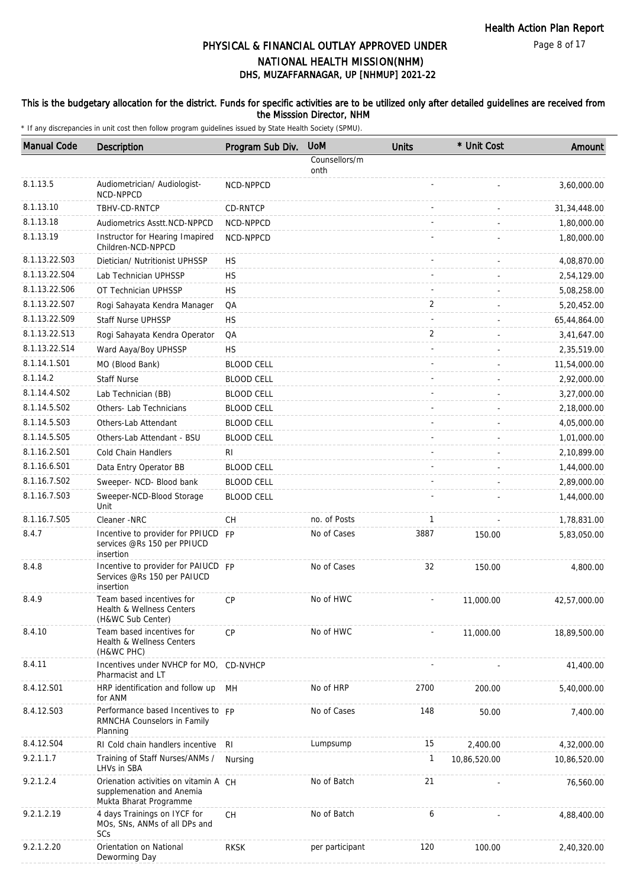### This is the budgetary allocation for the district. Funds for specific activities are to be utilized only after detailed guidelines are received from the Misssion Director, NHM

| <b>Manual Code</b> | Description                                                                                  | Program Sub Div.  | <b>UoM</b>            | <b>Units</b> | * Unit Cost  | Amount         |
|--------------------|----------------------------------------------------------------------------------------------|-------------------|-----------------------|--------------|--------------|----------------|
|                    |                                                                                              |                   | Counsellors/m<br>onth |              |              |                |
| 8.1.13.5           | Audiometrician/ Audiologist-<br>NCD-NPPCD                                                    | NCD-NPPCD         |                       |              |              | 3,60,000.00    |
| 8.1.13.10          | TBHV-CD-RNTCP                                                                                | CD-RNTCP          |                       |              |              | 31, 34, 448.00 |
| 8.1.13.18          | Audiometrics Asstt.NCD-NPPCD                                                                 | NCD-NPPCD         |                       |              |              | 1,80,000.00    |
| 8.1.13.19          | Instructor for Hearing Imapired<br>Children-NCD-NPPCD                                        | NCD-NPPCD         |                       |              |              | 1,80,000.00    |
| 8.1.13.22.S03      | Dietician/ Nutritionist UPHSSP                                                               | <b>HS</b>         |                       |              |              | 4,08,870.00    |
| 8.1.13.22.S04      | Lab Technician UPHSSP                                                                        | <b>HS</b>         |                       |              |              | 2,54,129.00    |
| 8.1.13.22.S06      | OT Technician UPHSSP                                                                         | <b>HS</b>         |                       |              |              | 5,08,258.00    |
| 8.1.13.22.S07      | Rogi Sahayata Kendra Manager                                                                 | QA                |                       | 2            |              | 5,20,452.00    |
| 8.1.13.22.S09      | <b>Staff Nurse UPHSSP</b>                                                                    | <b>HS</b>         |                       |              |              | 65,44,864.00   |
| 8.1.13.22.S13      | Rogi Sahayata Kendra Operator                                                                | QA                |                       | 2            |              | 3,41,647.00    |
| 8.1.13.22.S14      | Ward Aaya/Boy UPHSSP                                                                         | <b>HS</b>         |                       |              |              | 2,35,519.00    |
| 8.1.14.1.S01       | MO (Blood Bank)                                                                              | <b>BLOOD CELL</b> |                       |              |              | 11,54,000.00   |
| 8.1.14.2           | <b>Staff Nurse</b>                                                                           | <b>BLOOD CELL</b> |                       |              |              | 2,92,000.00    |
| 8.1.14.4.S02       | Lab Technician (BB)                                                                          | <b>BLOOD CELL</b> |                       |              |              | 3,27,000.00    |
| 8.1.14.5.S02       | Others-Lab Technicians                                                                       | <b>BLOOD CELL</b> |                       |              |              | 2,18,000.00    |
| 8.1.14.5.S03       | Others-Lab Attendant                                                                         | <b>BLOOD CELL</b> |                       |              |              | 4,05,000.00    |
| 8.1.14.5.S05       | Others-Lab Attendant - BSU                                                                   | <b>BLOOD CELL</b> |                       |              |              | 1,01,000.00    |
| 8.1.16.2.S01       | Cold Chain Handlers                                                                          | RI.               |                       |              |              | 2,10,899.00    |
| 8.1.16.6.S01       | Data Entry Operator BB                                                                       | <b>BLOOD CELL</b> |                       |              |              | 1,44,000.00    |
| 8.1.16.7.S02       | Sweeper- NCD- Blood bank                                                                     | <b>BLOOD CELL</b> |                       |              |              | 2,89,000.00    |
| 8.1.16.7.S03       | Sweeper-NCD-Blood Storage<br>Unit                                                            | <b>BLOOD CELL</b> |                       |              |              | 1,44,000.00    |
| 8.1.16.7.S05       | Cleaner -NRC                                                                                 | CH                | no. of Posts          | 1            |              | 1,78,831.00    |
| 8.4.7              | Incentive to provider for PPIUCD FP<br>services @Rs 150 per PPIUCD<br>insertion              |                   | No of Cases           | 3887         | 150.00       | 5,83,050.00    |
| 8.4.8              | Incentive to provider for PAIUCD FP<br>Services @Rs 150 per PAIUCD<br>insertion              |                   | No of Cases           | 32           | 150.00       | 4,800.00       |
| 8.4.9              | Team based incentives for<br>Health & Wellness Centers<br>(H&WC Sub Center)                  | <b>CP</b>         | No of HWC             |              | 11,000.00    | 42,57,000.00   |
| 8.4.10             | Team based incentives for<br>Health & Wellness Centers<br>(H&WC PHC)                         | <b>CP</b>         | No of HWC             |              | 11,000.00    | 18,89,500.00   |
| 8.4.11             | Incentives under NVHCP for MO, CD-NVHCP<br>Pharmacist and LT                                 |                   |                       |              |              | 41,400.00      |
| 8.4.12.S01         | HRP identification and follow up<br>for ANM                                                  | MH                | No of HRP             | 2700         | 200.00       | 5,40,000.00    |
| 8.4.12.S03         | Performance based Incentives to FP<br>RMNCHA Counselors in Family<br>Planning                |                   | No of Cases           | 148          | 50.00        | 7,400.00       |
| 8.4.12.S04         | RI Cold chain handlers incentive                                                             | RI                | Lumpsump              | 15           | 2,400.00     | 4,32,000.00    |
| 9.2.1.1.7          | Training of Staff Nurses/ANMs /<br>LHVs in SBA                                               | Nursing           |                       | 1            | 10,86,520.00 | 10,86,520.00   |
| 9.2.1.2.4          | Orienation activities on vitamin A CH<br>supplemenation and Anemia<br>Mukta Bharat Programme |                   | No of Batch           | 21           |              | 76,560.00      |
| 9.2.1.2.19         | 4 days Trainings on IYCF for<br>MOs, SNs, ANMs of all DPs and<br>SCs                         | CH                | No of Batch           | 6            |              | 4,88,400.00    |
| 9.2.1.2.20         | Orientation on National<br>Deworming Day                                                     | <b>RKSK</b>       | per participant       | 120          | 100.00       | 2,40,320.00    |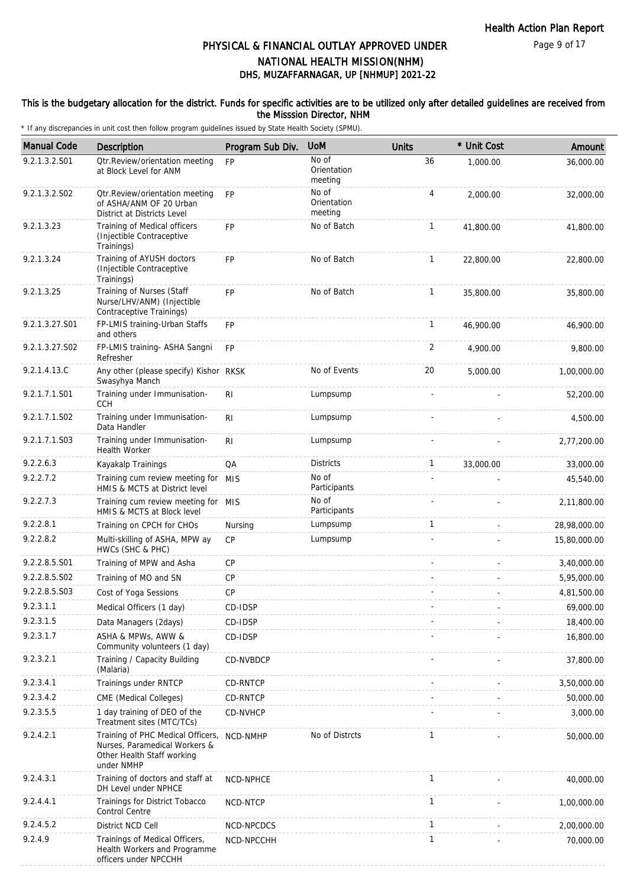### This is the budgetary allocation for the district. Funds for specific activities are to be utilized only after detailed guidelines are received from the Misssion Director, NHM

| <b>Manual Code</b> | <b>Description</b>                                                                                             | Program Sub Div. | <b>UoM</b>                      | <b>Units</b> | * Unit Cost | Amount       |
|--------------------|----------------------------------------------------------------------------------------------------------------|------------------|---------------------------------|--------------|-------------|--------------|
| 9.2.1.3.2.S01      | Otr.Review/orientation meeting<br>at Block Level for ANM                                                       | <b>FP</b>        | No of<br>Orientation<br>meeting | 36           | 1,000.00    | 36,000.00    |
| 9.2.1.3.2.S02      | Otr. Review/orientation meeting<br>of ASHA/ANM OF 20 Urban<br>District at Districts Level                      | <b>FP</b>        | No of<br>Orientation<br>meeting | 4            | 2,000.00    | 32,000.00    |
| 9.2.1.3.23         | Training of Medical officers<br>(Injectible Contraceptive<br>Trainings)                                        | <b>FP</b>        | No of Batch                     | $\mathbf{1}$ | 41,800.00   | 41,800.00    |
| 9.2.1.3.24         | Training of AYUSH doctors<br>(Injectible Contraceptive<br>Trainings)                                           | <b>FP</b>        | No of Batch                     | $\mathbf{1}$ | 22,800.00   | 22,800.00    |
| 9.2.1.3.25         | Training of Nurses (Staff<br>Nurse/LHV/ANM) (Injectible<br>Contraceptive Trainings)                            | <b>FP</b>        | No of Batch                     | $\mathbf{1}$ | 35,800.00   | 35,800.00    |
| 9.2.1.3.27.S01     | FP-LMIS training-Urban Staffs<br>and others                                                                    | <b>FP</b>        |                                 | $\mathbf{1}$ | 46,900.00   | 46,900.00    |
| 9.2.1.3.27.S02     | FP-LMIS training- ASHA Sangni<br>Refresher                                                                     | <b>FP</b>        |                                 | 2            | 4,900.00    | 9,800.00     |
| 9.2.1.4.13.C       | Any other (please specify) Kishor RKSK<br>Swasyhya Manch                                                       |                  | No of Events                    | 20           | 5,000.00    | 1,00,000.00  |
| 9.2.1.7.1.S01      | Training under Immunisation-<br>CCH                                                                            | R <sub>l</sub>   | Lumpsump                        |              |             | 52,200.00    |
| 9.2.1.7.1.S02      | Training under Immunisation-<br>Data Handler                                                                   | R <sub>l</sub>   | Lumpsump                        |              |             | 4,500.00     |
| 9.2.1.7.1.S03      | Training under Immunisation-<br>Health Worker                                                                  | RI               | Lumpsump                        |              |             | 2,77,200.00  |
| 9.2.2.6.3          | Kayakalp Trainings                                                                                             | QA               | <b>Districts</b>                | $\mathbf{1}$ | 33,000.00   | 33,000.00    |
| 9.2.2.7.2          | Training cum review meeting for MIS<br>HMIS & MCTS at District level                                           |                  | No of<br>Participants           |              |             | 45,540.00    |
| 9.2.2.7.3          | Training cum review meeting for MIS<br>HMIS & MCTS at Block level                                              |                  | No of<br>Participants           |              |             | 2,11,800.00  |
| 9.2.2.8.1          | Training on CPCH for CHOs                                                                                      | Nursing          | Lumpsump                        | $\mathbf{1}$ |             | 28,98,000.00 |
| 9.2.2.8.2          | Multi-skilling of ASHA, MPW ay<br>HWCs (SHC & PHC)                                                             | CP               | Lumpsump                        |              |             | 15,80,000.00 |
| 9.2.2.8.5.S01      | Training of MPW and Asha                                                                                       | CP               |                                 |              |             | 3,40,000.00  |
| 9.2.2.8.5.S02      | Training of MO and SN                                                                                          | <b>CP</b>        |                                 |              |             | 5,95,000.00  |
| 9.2.2.8.5.S03      | Cost of Yoga Sessions                                                                                          | <b>CP</b>        |                                 |              |             | 4,81,500.00  |
| 9.2.3.1.1          | Medical Officers (1 day)                                                                                       | CD-IDSP          |                                 |              |             | 69,000.00    |
| 9.2.3.1.5          | Data Managers (2days)                                                                                          | CD-IDSP          |                                 |              |             | 18,400.00    |
| 9.2.3.1.7          | ASHA & MPWs, AWW &<br>Community volunteers (1 day)                                                             | CD-IDSP          |                                 |              |             | 16,800.00    |
| 9.2.3.2.1          | Training / Capacity Building<br>(Malaria)                                                                      | CD-NVBDCP        |                                 |              |             | 37,800.00    |
| 9.2.3.4.1          | Trainings under RNTCP                                                                                          | CD-RNTCP         |                                 |              |             | 3,50,000.00  |
| 9.2.3.4.2          | CME (Medical Colleges)                                                                                         | CD-RNTCP         |                                 |              |             | 50,000.00    |
| 9.2.3.5.5          | 1 day training of DEO of the<br>Treatment sites (MTC/TCs)                                                      | CD-NVHCP         |                                 |              |             | 3,000.00     |
| 9.2.4.2.1          | Training of PHC Medical Officers,<br>Nurses, Paramedical Workers &<br>Other Health Staff working<br>under NMHP | NCD-NMHP         | No of Distrcts                  | $\mathbf{1}$ |             | 50,000.00    |
| 9.2.4.3.1          | Training of doctors and staff at<br>DH Level under NPHCE                                                       | NCD-NPHCE        |                                 | $\mathbf{1}$ |             | 40,000.00    |
| 9.2.4.4.1          | Trainings for District Tobacco<br>Control Centre                                                               | NCD-NTCP         |                                 | $\mathbf{1}$ |             | 1,00,000.00  |
| 9.2.4.5.2          | District NCD Cell                                                                                              | NCD-NPCDCS       |                                 | $\mathbf{1}$ |             | 2,00,000.00  |
| 9.2.4.9            | Trainings of Medical Officers,<br>Health Workers and Programme<br>officers under NPCCHH                        | NCD-NPCCHH       |                                 | $\mathbf{1}$ |             | 70,000.00    |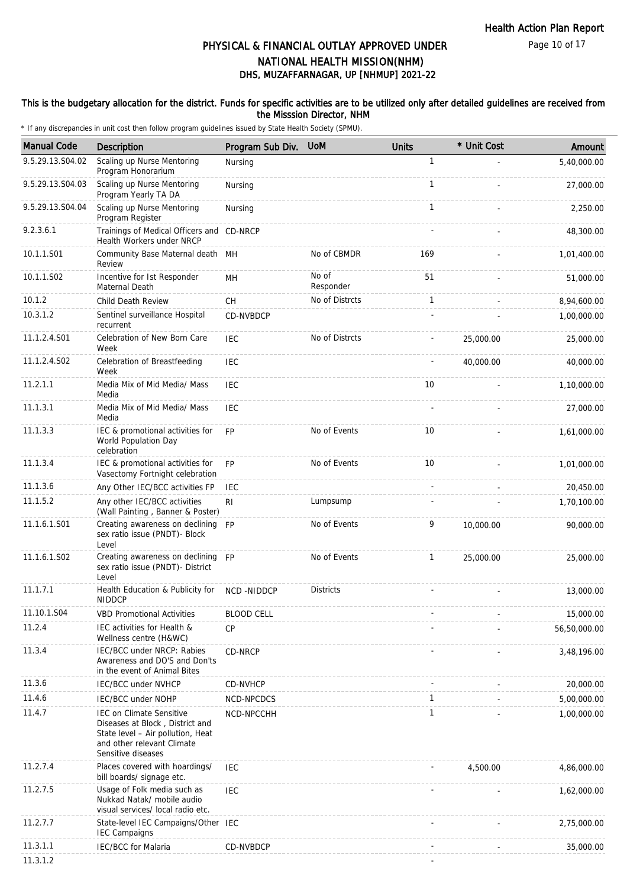Page 10 of 17

# DHS, MUZAFFARNAGAR, UP [NHMUP] 2021-22 PHYSICAL & FINANCIAL OUTLAY APPROVED UNDER NATIONAL HEALTH MISSION(NHM)

### This is the budgetary allocation for the district. Funds for specific activities are to be utilized only after detailed guidelines are received from the Misssion Director, NHM

| <b>Manual Code</b> | Description                                                                                                                                                 | Program Sub Div.  | <b>UoM</b>         | <b>Units</b> | * Unit Cost | Amount       |
|--------------------|-------------------------------------------------------------------------------------------------------------------------------------------------------------|-------------------|--------------------|--------------|-------------|--------------|
| 9.5.29.13.S04.02   | Scaling up Nurse Mentoring<br>Program Honorarium                                                                                                            | Nursing           |                    | $\mathbf{1}$ |             | 5,40,000.00  |
| 9.5.29.13.S04.03   | Scaling up Nurse Mentoring<br>Program Yearly TA DA                                                                                                          | Nursing           |                    | $\mathbf{1}$ |             | 27,000.00    |
| 9.5.29.13.S04.04   | Scaling up Nurse Mentoring<br>Program Register                                                                                                              | Nursing           |                    | $\mathbf{1}$ |             | 2,250.00     |
| 9.2.3.6.1          | Trainings of Medical Officers and CD-NRCP<br>Health Workers under NRCP                                                                                      |                   |                    |              |             | 48,300.00    |
| 10.1.1.S01         | Community Base Maternal death MH<br>Review                                                                                                                  |                   | No of CBMDR        | 169          |             | 1,01,400.00  |
| 10.1.1.S02         | Incentive for Ist Responder<br>Maternal Death                                                                                                               | MH                | No of<br>Responder | 51           |             | 51,000.00    |
| 10.1.2             | Child Death Review                                                                                                                                          | CH                | No of Distrcts     | $\mathbf{1}$ |             | 8,94,600.00  |
| 10.3.1.2           | Sentinel surveillance Hospital<br>recurrent                                                                                                                 | CD-NVBDCP         |                    |              |             | 1,00,000.00  |
| 11.1.2.4.S01       | Celebration of New Born Care<br>Week                                                                                                                        | <b>IEC</b>        | No of Distrcts     |              | 25,000.00   | 25,000.00    |
| 11.1.2.4.S02       | Celebration of Breastfeeding<br>Week                                                                                                                        | <b>IEC</b>        |                    |              | 40,000.00   | 40,000.00    |
| 11.2.1.1           | Media Mix of Mid Media/ Mass<br>Media                                                                                                                       | <b>IEC</b>        |                    | 10           |             | 1,10,000.00  |
| 11.1.3.1           | Media Mix of Mid Media/ Mass<br>Media                                                                                                                       | <b>IEC</b>        |                    |              |             | 27,000.00    |
| 11.1.3.3           | IEC & promotional activities for<br>World Population Day<br>celebration                                                                                     | <b>FP</b>         | No of Events       | 10           |             | 1,61,000.00  |
| 11.1.3.4           | IEC & promotional activities for<br>Vasectomy Fortnight celebration                                                                                         | <b>FP</b>         | No of Events       | 10           |             | 1,01,000.00  |
| 11.1.3.6           | Any Other IEC/BCC activities FP                                                                                                                             | <b>IEC</b>        |                    |              |             | 20,450.00    |
| 11.1.5.2           | Any other IEC/BCC activities<br>(Wall Painting, Banner & Poster)                                                                                            | R <sub>l</sub>    | Lumpsump           |              |             | 1,70,100.00  |
| 11.1.6.1.S01       | Creating awareness on declining FP<br>sex ratio issue (PNDT)- Block<br>Level                                                                                |                   | No of Events       | 9            | 10,000.00   | 90,000.00    |
| 11.1.6.1.S02       | Creating awareness on declining FP<br>sex ratio issue (PNDT)- District<br>Level                                                                             |                   | No of Events       | $\mathbf{1}$ | 25,000.00   | 25,000.00    |
| 11.1.7.1           | Health Education & Publicity for<br><b>NIDDCP</b>                                                                                                           | <b>NCD-NIDDCP</b> | <b>Districts</b>   |              |             | 13,000.00    |
| 11.10.1.S04        | <b>VBD Promotional Activities</b>                                                                                                                           | <b>BLOOD CELL</b> |                    |              |             | 15,000.00    |
| 11.2.4             | IEC activities for Health &<br>Wellness centre (H&WC)                                                                                                       | СP                |                    |              |             | 56,50,000.00 |
| 11.3.4             | IEC/BCC under NRCP: Rabies<br>Awareness and DO'S and Don'ts<br>in the event of Animal Bites                                                                 | CD-NRCP           |                    |              |             | 3,48,196.00  |
| 11.3.6             | <b>IEC/BCC under NVHCP</b>                                                                                                                                  | CD-NVHCP          |                    |              |             | 20,000.00    |
| 11.4.6             | IEC/BCC under NOHP                                                                                                                                          | NCD-NPCDCS        |                    | $\mathbf{1}$ |             | 5,00,000.00  |
| 11.4.7             | <b>IEC on Climate Sensitive</b><br>Diseases at Block, District and<br>State level - Air pollution, Heat<br>and other relevant Climate<br>Sensitive diseases | NCD-NPCCHH        |                    | $\mathbf{1}$ |             | 1,00,000.00  |
| 11.2.7.4           | Places covered with hoardings/<br>bill boards/ signage etc.                                                                                                 | IEC               |                    |              | 4,500.00    | 4,86,000.00  |
| 11.2.7.5           | Usage of Folk media such as<br>Nukkad Natak/ mobile audio<br>visual services/ local radio etc.                                                              | <b>IEC</b>        |                    |              |             | 1,62,000.00  |
| 11.2.7.7           | State-level IEC Campaigns/Other IEC<br><b>IEC Campaigns</b>                                                                                                 |                   |                    |              |             | 2,75,000.00  |
| 11.3.1.1           | <b>IEC/BCC</b> for Malaria                                                                                                                                  | CD-NVBDCP         |                    |              |             | 35,000.00    |
| 11.3.1.2           |                                                                                                                                                             |                   |                    |              |             |              |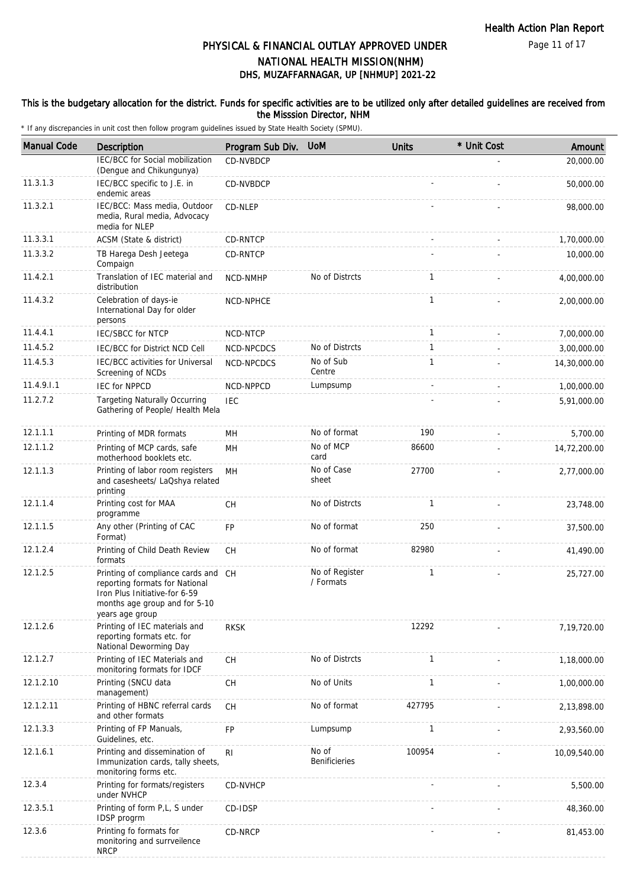#### This is the budgetary allocation for the district. Funds for specific activities are to be utilized only after detailed guidelines are received from the Misssion Director, NHM

| <b>Manual Code</b> | Description                                                                                                                                                | Program Sub Div. | <b>UoM</b>                    | <b>Units</b> | * Unit Cost | Amount       |
|--------------------|------------------------------------------------------------------------------------------------------------------------------------------------------------|------------------|-------------------------------|--------------|-------------|--------------|
|                    | IEC/BCC for Social mobilization<br>(Dengue and Chikungunya)                                                                                                | <b>CD-NVBDCP</b> |                               |              |             | 20,000.00    |
| 11.3.1.3           | IEC/BCC specific to J.E. in<br>endemic areas                                                                                                               | CD-NVBDCP        |                               |              |             | 50,000.00    |
| 11.3.2.1           | IEC/BCC: Mass media, Outdoor<br>media, Rural media, Advocacy<br>media for NLEP                                                                             | CD-NLEP          |                               |              |             | 98,000.00    |
| 11.3.3.1           | ACSM (State & district)                                                                                                                                    | CD-RNTCP         |                               |              |             | 1,70,000.00  |
| 11.3.3.2           | TB Harega Desh Jeetega<br>Compaign                                                                                                                         | CD-RNTCP         |                               |              |             | 10,000.00    |
| 11.4.2.1           | Translation of IEC material and<br>distribution                                                                                                            | NCD-NMHP         | No of Distrcts                | $\mathbf{1}$ |             | 4.00.000.00  |
| 11.4.3.2           | Celebration of days-ie<br>International Day for older<br>persons                                                                                           | NCD-NPHCE        |                               | $\mathbf{1}$ |             | 2,00,000.00  |
| 11.4.4.1           | <b>IEC/SBCC for NTCP</b>                                                                                                                                   | NCD-NTCP         |                               | $\mathbf{1}$ |             | 7,00,000.00  |
| 11.4.5.2           | <b>IEC/BCC for District NCD Cell</b>                                                                                                                       | NCD-NPCDCS       | No of Distrcts                | $\mathbf{1}$ |             | 3,00,000.00  |
| 11.4.5.3           | IEC/BCC activities for Universal<br>Screening of NCDs                                                                                                      | NCD-NPCDCS       | No of Sub<br>Centre           | $\mathbf{1}$ |             | 14,30,000.00 |
| 11.4.9.1.1         | <b>IEC for NPPCD</b>                                                                                                                                       | NCD-NPPCD        | Lumpsump                      |              |             | 1,00,000.00  |
| 11.2.7.2           | <b>Targeting Naturally Occurring</b><br>Gathering of People/ Health Mela                                                                                   | <b>IEC</b>       |                               |              |             | 5,91,000.00  |
| 12.1.1.1           | Printing of MDR formats                                                                                                                                    | MH               | No of format                  | 190          |             | 5,700.00     |
| 12.1.1.2           | Printing of MCP cards, safe<br>motherhood booklets etc.                                                                                                    | MH               | No of MCP<br>card             | 86600        |             | 14,72,200.00 |
| 12.1.1.3           | Printing of labor room registers<br>and casesheets/ LaQshya related<br>printing                                                                            | MH               | No of Case<br>sheet           | 27700        |             | 2,77,000.00  |
| 12.1.1.4           | Printing cost for MAA<br>programme                                                                                                                         | <b>CH</b>        | No of Distrcts                | $\mathbf{1}$ |             | 23,748.00    |
| 12.1.1.5           | Any other (Printing of CAC<br>Format)                                                                                                                      | <b>FP</b>        | No of format                  | 250          |             | 37,500.00    |
| 12.1.2.4           | Printing of Child Death Review<br>formats                                                                                                                  | CH               | No of format                  | 82980        |             | 41,490.00    |
| 12.1.2.5           | Printing of compliance cards and CH<br>reporting formats for National<br>Iron Plus Initiative-for 6-59<br>months age group and for 5-10<br>years age group |                  | No of Register<br>/ Formats   | $\mathbf{1}$ |             | 25,727.00    |
| 12.1.2.6           | Printing of IEC materials and<br>reporting formats etc. for<br>National Deworming Day                                                                      | <b>RKSK</b>      |                               | 12292        |             | 7,19,720.00  |
| 12.1.2.7           | Printing of IEC Materials and<br>monitoring formats for IDCF                                                                                               | CH               | No of Distrcts                | $\mathbf{1}$ |             | 1,18,000.00  |
| 12.1.2.10          | Printing (SNCU data<br>management)                                                                                                                         | CH               | No of Units                   | $\mathbf{1}$ |             | 1,00,000.00  |
| 12.1.2.11          | Printing of HBNC referral cards<br>and other formats                                                                                                       | CH               | No of format                  | 427795       |             | 2,13,898.00  |
| 12.1.3.3           | Printing of FP Manuals,<br>Guidelines, etc.                                                                                                                | <b>FP</b>        | Lumpsump                      | 1            |             | 2,93,560.00  |
| 12.1.6.1           | Printing and dissemination of<br>Immunization cards, tally sheets,<br>monitoring forms etc.                                                                | R <sub>l</sub>   | No of<br><b>Benificieries</b> | 100954       |             | 10,09,540.00 |
| 12.3.4             | Printing for formats/registers<br>under NVHCP                                                                                                              | <b>CD-NVHCP</b>  |                               |              |             | 5,500.00     |
| 12.3.5.1           | Printing of form P,L, S under<br>IDSP progrm                                                                                                               | CD-IDSP          |                               |              |             | 48,360.00    |
| 12.3.6             | Printing fo formats for<br>monitoring and surrveilence<br><b>NRCP</b>                                                                                      | CD-NRCP          |                               |              |             | 81,453.00    |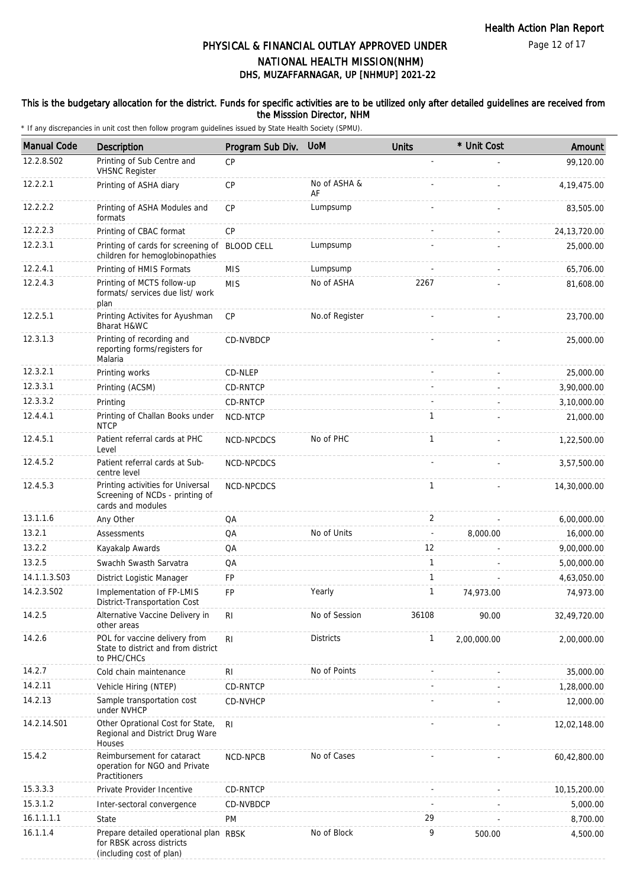### This is the budgetary allocation for the district. Funds for specific activities are to be utilized only after detailed guidelines are received from the Misssion Director, NHM

| <b>Manual Code</b> | Description                                                                                     | Program Sub Div. | <b>UoM</b>         | <b>Units</b>             | * Unit Cost | Amount         |
|--------------------|-------------------------------------------------------------------------------------------------|------------------|--------------------|--------------------------|-------------|----------------|
| 12.2.8.S02         | Printing of Sub Centre and<br><b>VHSNC</b> Register                                             | CP               |                    |                          |             | 99,120.00      |
| 12.2.2.1           | Printing of ASHA diary                                                                          | CP               | No of ASHA &<br>AF |                          |             | 4, 19, 475.00  |
| 12.2.2.2           | Printing of ASHA Modules and<br>formats                                                         | CP               | Lumpsump           |                          |             | 83,505.00      |
| 12.2.2.3           | Printing of CBAC format                                                                         | <b>CP</b>        |                    |                          |             | 24, 13, 720.00 |
| 12.2.3.1           | Printing of cards for screening of BLOOD CELL<br>children for hemoglobinopathies                |                  | Lumpsump           |                          |             | 25,000.00      |
| 12.2.4.1           | Printing of HMIS Formats                                                                        | <b>MIS</b>       | Lumpsump           |                          |             | 65,706.00      |
| 12.2.4.3           | Printing of MCTS follow-up<br>formats/ services due list/ work<br>plan                          | <b>MIS</b>       | No of ASHA         | 2267                     |             | 81,608.00      |
| 12.2.5.1           | Printing Activites for Ayushman<br>Bharat H&WC                                                  | CP               | No.of Register     |                          |             | 23,700.00      |
| 12.3.1.3           | Printing of recording and<br>reporting forms/registers for<br>Malaria                           | CD-NVBDCP        |                    |                          |             | 25,000.00      |
| 12.3.2.1           | Printing works                                                                                  | CD-NLEP          |                    |                          |             | 25,000.00      |
| 12.3.3.1           | Printing (ACSM)                                                                                 | <b>CD-RNTCP</b>  |                    |                          |             | 3,90,000.00    |
| 12.3.3.2           | Printing                                                                                        | CD-RNTCP         |                    |                          |             | 3,10,000.00    |
| 12.4.4.1           | Printing of Challan Books under<br><b>NTCP</b>                                                  | NCD-NTCP         |                    | 1                        |             | 21,000.00      |
| 12.4.5.1           | Patient referral cards at PHC<br>Level                                                          | NCD-NPCDCS       | No of PHC          | $\mathbf{1}$             |             | 1,22,500.00    |
| 12.4.5.2           | Patient referral cards at Sub-<br>centre level                                                  | NCD-NPCDCS       |                    |                          |             | 3,57,500.00    |
| 12.4.5.3           | Printing activities for Universal<br>Screening of NCDs - printing of<br>cards and modules       | NCD-NPCDCS       |                    | $\mathbf{1}$             |             | 14,30,000.00   |
| 13.1.1.6           | Any Other                                                                                       | QA               |                    | 2                        |             | 6,00,000.00    |
| 13.2.1             | Assessments                                                                                     | QA               | No of Units        | $\overline{\phantom{a}}$ | 8,000.00    | 16,000.00      |
| 13.2.2             | Kayakalp Awards                                                                                 | QA               |                    | 12                       |             | 9,00,000.00    |
| 13.2.5             | Swachh Swasth Sarvatra                                                                          | QA               |                    | $\mathbf{1}$             |             | 5,00,000.00    |
| 14.1.1.3.S03       | District Logistic Manager                                                                       | FP               |                    | $\mathbf{1}$             |             | 4,63,050.00    |
| 14.2.3.S02         | Implementation of FP-LMIS<br>District-Transportation Cost                                       | FP               | Yearly             | $\mathbf{1}$             | 74,973.00   | 74,973.00      |
| 14.2.5             | Alternative Vaccine Delivery in<br>other areas                                                  | R <sub>l</sub>   | No of Session      | 36108                    | 90.00       | 32,49,720.00   |
| 14.2.6             | POL for vaccine delivery from<br>State to district and from district<br>to PHC/CHCs             | R <sub>l</sub>   | <b>Districts</b>   | $\mathbf{1}$             | 2,00,000.00 | 2,00,000.00    |
| 14.2.7             | Cold chain maintenance                                                                          | RI               | No of Points       |                          |             | 35,000.00      |
| 14.2.11            | Vehicle Hiring (NTEP)                                                                           | CD-RNTCP         |                    |                          |             | 1,28,000.00    |
| 14.2.13            | Sample transportation cost<br>under NVHCP                                                       | CD-NVHCP         |                    |                          |             | 12,000.00      |
| 14.2.14.S01        | Other Oprational Cost for State,<br>Regional and District Drug Ware<br>Houses                   | RI.              |                    |                          |             | 12,02,148.00   |
| 15.4.2             | Reimbursement for cataract<br>operation for NGO and Private<br>Practitioners                    | NCD-NPCB         | No of Cases        |                          |             | 60,42,800.00   |
| 15.3.3.3           | Private Provider Incentive                                                                      | CD-RNTCP         |                    |                          |             | 10,15,200.00   |
| 15.3.1.2           | Inter-sectoral convergence                                                                      | CD-NVBDCP        |                    |                          |             | 5,000.00       |
| 16.1.1.1.1         | State                                                                                           | PM               |                    | 29                       |             | 8,700.00       |
| 16.1.1.4           | Prepare detailed operational plan RBSK<br>for RBSK across districts<br>(including cost of plan) |                  | No of Block        | 9                        | 500.00      | 4,500.00       |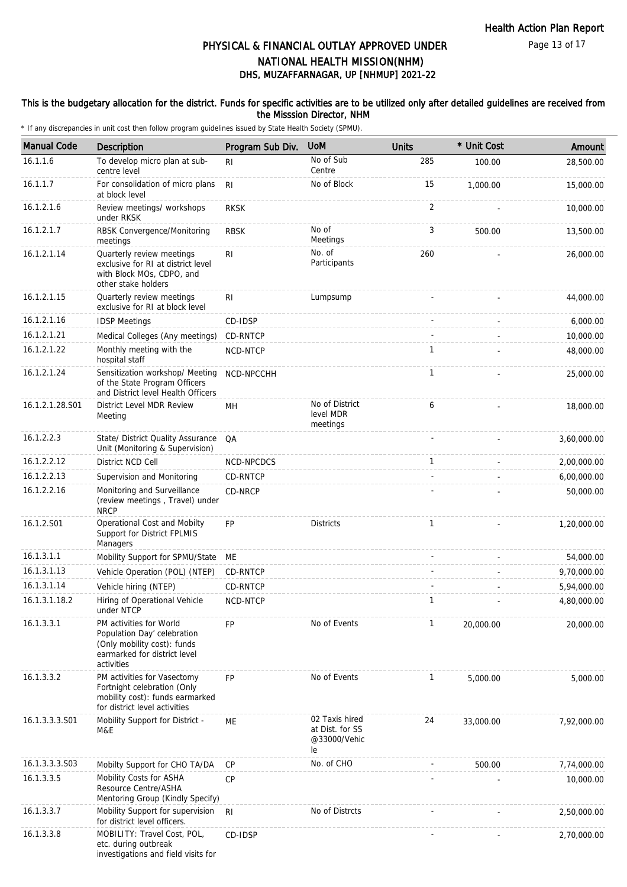### This is the budgetary allocation for the district. Funds for specific activities are to be utilized only after detailed guidelines are received from the Misssion Director, NHM

| <b>Manual Code</b> | Description                                                                                                                         | Program Sub Div. | <b>UoM</b>                                              | <b>Units</b>   | * Unit Cost | Amount      |
|--------------------|-------------------------------------------------------------------------------------------------------------------------------------|------------------|---------------------------------------------------------|----------------|-------------|-------------|
| 16.1.1.6           | To develop micro plan at sub-<br>centre level                                                                                       | R <sub>1</sub>   | No of Sub<br>Centre                                     | 285            | 100.00      | 28,500.00   |
| 16.1.1.7           | For consolidation of micro plans<br>at block level                                                                                  | R <sub>l</sub>   | No of Block                                             | 15             | 1,000.00    | 15,000.00   |
| 16.1.2.1.6         | Review meetings/ workshops<br>under RKSK                                                                                            | <b>RKSK</b>      |                                                         | $\overline{2}$ |             | 10,000.00   |
| 16.1.2.1.7         | RBSK Convergence/Monitoring<br>meetings                                                                                             | <b>RBSK</b>      | No of<br>Meetings                                       | 3              | 500.00      | 13,500.00   |
| 16.1.2.1.14        | Quarterly review meetings<br>exclusive for RI at district level<br>with Block MOs, CDPO, and<br>other stake holders                 | R <sub>l</sub>   | No. of<br>Participants                                  | 260            |             | 26,000.00   |
| 16.1.2.1.15        | Quarterly review meetings<br>exclusive for RI at block level                                                                        | R <sub>1</sub>   | Lumpsump                                                |                |             | 44,000.00   |
| 16.1.2.1.16        | <b>IDSP Meetings</b>                                                                                                                | CD-IDSP          |                                                         |                |             | 6,000.00    |
| 16.1.2.1.21        | Medical Colleges (Any meetings)                                                                                                     | CD-RNTCP         |                                                         |                |             | 10,000.00   |
| 16.1.2.1.22        | Monthly meeting with the<br>hospital staff                                                                                          | NCD-NTCP         |                                                         | 1              |             | 48,000.00   |
| 16.1.2.1.24        | Sensitization workshop/ Meeting<br>of the State Program Officers<br>and District level Health Officers                              | NCD-NPCCHH       |                                                         | $\mathbf{1}$   |             | 25,000.00   |
| 16.1.2.1.28.S01    | District Level MDR Review<br>Meeting                                                                                                | MH               | No of District<br>level MDR<br>meetings                 | 6              |             | 18,000.00   |
| 16.1.2.2.3         | State/ District Quality Assurance<br>Unit (Monitoring & Supervision)                                                                | QA               |                                                         |                |             | 3,60,000.00 |
| 16.1.2.2.12        | District NCD Cell                                                                                                                   | NCD-NPCDCS       |                                                         | 1              |             | 2,00,000.00 |
| 16.1.2.2.13        | Supervision and Monitoring                                                                                                          | CD-RNTCP         |                                                         |                |             | 6,00,000.00 |
| 16.1.2.2.16        | Monitoring and Surveillance<br>(review meetings, Travel) under<br><b>NRCP</b>                                                       | CD-NRCP          |                                                         |                |             | 50,000.00   |
| 16.1.2.S01         | Operational Cost and Mobilty<br>Support for District FPLMIS<br>Managers                                                             | <b>FP</b>        | <b>Districts</b>                                        | 1              |             | 1,20,000.00 |
| 16.1.3.1.1         | Mobility Support for SPMU/State                                                                                                     | МE               |                                                         |                |             | 54,000.00   |
| 16.1.3.1.13        | Vehicle Operation (POL) (NTEP)                                                                                                      | CD-RNTCP         |                                                         |                |             | 9,70,000.00 |
| 16.1.3.1.14        | Vehicle hiring (NTEP)                                                                                                               | CD-RNTCP         |                                                         |                |             | 5,94,000.00 |
| 16.1.3.1.18.2      | Hiring of Operational Vehicle<br>under NTCP                                                                                         | NCD-NTCP         |                                                         | $\mathbf{1}$   |             | 4,80,000.00 |
| 16.1.3.3.1         | PM activities for World<br>Population Day' celebration<br>(Only mobility cost): funds<br>earmarked for district level<br>activities | <b>FP</b>        | No of Events                                            | 1              | 20,000.00   | 20,000.00   |
| 16.1.3.3.2         | PM activities for Vasectomy<br>Fortnight celebration (Only<br>mobility cost): funds earmarked<br>for district level activities      | <b>FP</b>        | No of Events                                            | 1              | 5,000.00    | 5,000.00    |
| 16.1.3.3.3.S01     | Mobility Support for District -<br>M&E                                                                                              | ME               | 02 Taxis hired<br>at Dist. for SS<br>@33000/Vehic<br>le | 24             | 33,000.00   | 7,92,000.00 |
| 16.1.3.3.3.S03     | Mobilty Support for CHO TA/DA                                                                                                       | <b>CP</b>        | No. of CHO                                              |                | 500.00      | 7,74,000.00 |
| 16.1.3.3.5         | Mobility Costs for ASHA<br>Resource Centre/ASHA<br>Mentoring Group (Kindly Specify)                                                 | <b>CP</b>        |                                                         |                |             | 10,000.00   |
| 16.1.3.3.7         | Mobility Support for supervision<br>for district level officers.                                                                    | RI               | No of Distrcts                                          |                |             | 2,50,000.00 |
| 16.1.3.3.8         | MOBILITY: Travel Cost, POL,<br>etc. during outbreak<br>investigations and field visits for                                          | CD-IDSP          |                                                         |                |             | 2,70,000.00 |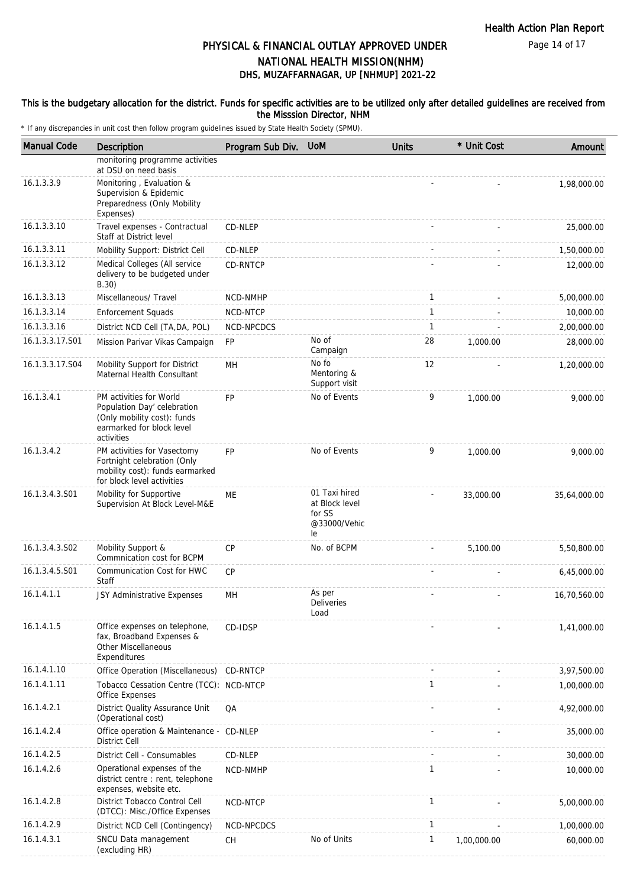Page 14 of 17

# DHS, MUZAFFARNAGAR, UP [NHMUP] 2021-22 PHYSICAL & FINANCIAL OUTLAY APPROVED UNDER NATIONAL HEALTH MISSION(NHM)

#### This is the budgetary allocation for the district. Funds for specific activities are to be utilized only after detailed guidelines are received from the Misssion Director, NHM

| <b>Manual Code</b> | Description                                                                                                                      | Program Sub Div. | <b>UoM</b>                                                      | <b>Units</b> | * Unit Cost | Amount       |
|--------------------|----------------------------------------------------------------------------------------------------------------------------------|------------------|-----------------------------------------------------------------|--------------|-------------|--------------|
|                    | monitoring programme activities<br>at DSU on need basis                                                                          |                  |                                                                 |              |             |              |
| 16.1.3.3.9         | Monitoring, Evaluation &<br>Supervision & Epidemic<br>Preparedness (Only Mobility<br>Expenses)                                   |                  |                                                                 |              |             | 1,98,000.00  |
| 16.1.3.3.10        | Travel expenses - Contractual<br>Staff at District level                                                                         | CD-NLEP          |                                                                 |              |             | 25,000.00    |
| 16.1.3.3.11        | Mobility Support: District Cell                                                                                                  | CD-NLEP          |                                                                 |              |             | 1,50,000.00  |
| 16.1.3.3.12        | Medical Colleges (All service<br>delivery to be budgeted under<br>B.30)                                                          | CD-RNTCP         |                                                                 |              |             | 12,000.00    |
| 16.1.3.3.13        | Miscellaneous/ Travel                                                                                                            | NCD-NMHP         |                                                                 | 1            |             | 5,00,000.00  |
| 16.1.3.3.14        | <b>Enforcement Squads</b>                                                                                                        | NCD-NTCP         |                                                                 | $\mathbf{1}$ |             | 10,000.00    |
| 16.1.3.3.16        | District NCD Cell (TA, DA, POL)                                                                                                  | NCD-NPCDCS       |                                                                 | $\mathbf{1}$ |             | 2,00,000.00  |
| 16.1.3.3.17.S01    | Mission Parivar Vikas Campaign                                                                                                   | <b>FP</b>        | No of<br>Campaign                                               | 28           | 1.000.00    | 28,000.00    |
| 16.1.3.3.17.S04    | Mobility Support for District<br>Maternal Health Consultant                                                                      | MН               | No fo<br>Mentoring &<br>Support visit                           | 12           |             | 1,20,000.00  |
| 16.1.3.4.1         | PM activities for World<br>Population Day' celebration<br>(Only mobility cost): funds<br>earmarked for block level<br>activities | <b>FP</b>        | No of Events                                                    | 9            | 1,000.00    | 9,000.00     |
| 16.1.3.4.2         | PM activities for Vasectomy<br>Fortnight celebration (Only<br>mobility cost): funds earmarked<br>for block level activities      | <b>FP</b>        | No of Events                                                    | 9            | 1,000.00    | 9,000.00     |
| 16.1.3.4.3.S01     | Mobility for Supportive<br>Supervision At Block Level-M&E                                                                        | <b>ME</b>        | 01 Taxi hired<br>at Block level<br>for SS<br>@33000/Vehic<br>le |              | 33,000.00   | 35,64,000.00 |
| 16.1.3.4.3.S02     | Mobility Support &<br>Commnication cost for BCPM                                                                                 | <b>CP</b>        | No. of BCPM                                                     |              | 5.100.00    | 5,50,800.00  |
| 16.1.3.4.5.S01     | Communication Cost for HWC<br>Staff                                                                                              | CP               |                                                                 |              |             | 6,45,000.00  |
| 16.1.4.1.1         | JSY Administrative Expenses                                                                                                      | MH               | As per<br>Deliveries<br>Load                                    |              |             | 16,70,560.00 |
| 16.1.4.1.5         | Office expenses on telephone,<br>fax, Broadband Expenses &<br><b>Other Miscellaneous</b><br>Expenditures                         | CD-IDSP          |                                                                 |              |             | 1,41,000.00  |
| 16.1.4.1.10        | Office Operation (Miscellaneous)                                                                                                 | CD-RNTCP         |                                                                 |              |             | 3,97,500.00  |
| 16.1.4.1.11        | Tobacco Cessation Centre (TCC): NCD-NTCP<br>Office Expenses                                                                      |                  |                                                                 | 1            |             | 1,00,000.00  |
| 16.1.4.2.1         | District Quality Assurance Unit<br>(Operational cost)                                                                            | QA               |                                                                 |              |             | 4,92,000.00  |
| 16.1.4.2.4         | Office operation & Maintenance - CD-NLEP<br><b>District Cell</b>                                                                 |                  |                                                                 |              |             | 35,000.00    |
| 16.1.4.2.5         | District Cell - Consumables                                                                                                      | CD-NLEP          |                                                                 |              |             | 30,000.00    |
| 16.1.4.2.6         | Operational expenses of the<br>district centre : rent, telephone<br>expenses, website etc.                                       | NCD-NMHP         |                                                                 | 1            |             | 10,000.00    |
| 16.1.4.2.8         | District Tobacco Control Cell<br>(DTCC): Misc./Office Expenses                                                                   | NCD-NTCP         |                                                                 | 1            |             | 5,00,000.00  |
| 16.1.4.2.9         | District NCD Cell (Contingency)                                                                                                  | NCD-NPCDCS       |                                                                 | 1            |             | 1,00,000.00  |
| 16.1.4.3.1         | SNCU Data management<br>(excluding HR)                                                                                           | CH               | No of Units                                                     | 1            | 1,00,000.00 | 60,000.00    |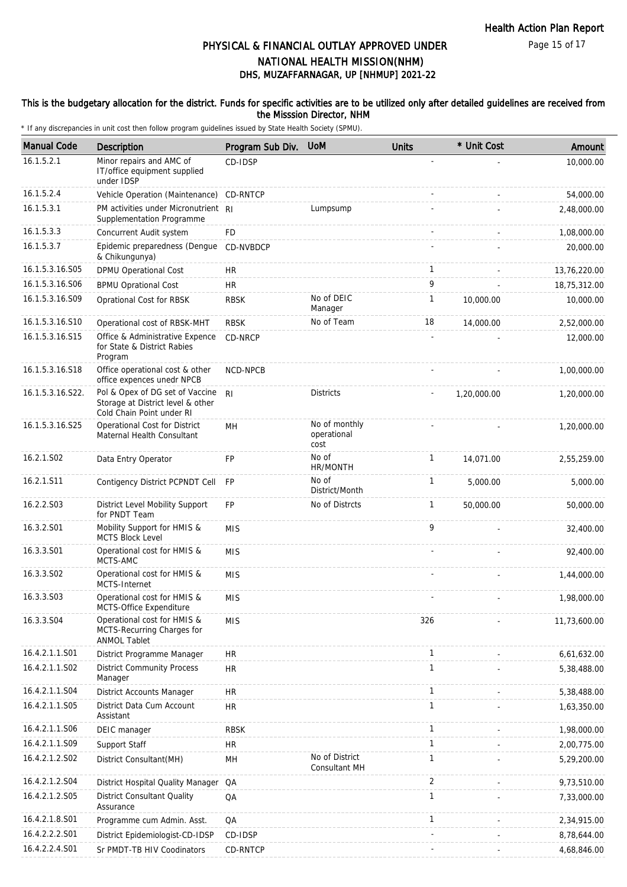#### This is the budgetary allocation for the district. Funds for specific activities are to be utilized only after detailed guidelines are received from the Misssion Director, NHM

| <b>Manual Code</b> | Description                                                                                       | Program Sub Div. | <b>UoM</b>                           | <b>Units</b> | * Unit Cost | Amount       |
|--------------------|---------------------------------------------------------------------------------------------------|------------------|--------------------------------------|--------------|-------------|--------------|
| 16.1.5.2.1         | Minor repairs and AMC of<br>IT/office equipment supplied<br>under IDSP                            | CD-IDSP          |                                      |              |             | 10,000.00    |
| 16.1.5.2.4         | Vehicle Operation (Maintenance) CD-RNTCP                                                          |                  |                                      |              |             | 54,000.00    |
| 16.1.5.3.1         | PM activities under Micronutrient RI<br>Supplementation Programme                                 |                  | Lumpsump                             |              |             | 2,48,000.00  |
| 16.1.5.3.3         | Concurrent Audit system                                                                           | <b>FD</b>        |                                      |              |             | 1,08,000.00  |
| 16.1.5.3.7         | Epidemic preparedness (Dengue<br>& Chikungunya)                                                   | CD-NVBDCP        |                                      |              |             | 20,000.00    |
| 16.1.5.3.16.S05    | DPMU Operational Cost                                                                             | HR.              |                                      | $\mathbf{1}$ |             | 13,76,220.00 |
| 16.1.5.3.16.S06    | <b>BPMU Oprational Cost</b>                                                                       | <b>HR</b>        |                                      | 9            |             | 18,75,312.00 |
| 16.1.5.3.16.S09    | Oprational Cost for RBSK                                                                          | <b>RBSK</b>      | No of DEIC<br>Manager                | $\mathbf{1}$ | 10,000.00   | 10,000.00    |
| 16.1.5.3.16.S10    | Operational cost of RBSK-MHT                                                                      | <b>RBSK</b>      | No of Team                           | 18           | 14,000.00   | 2,52,000.00  |
| 16.1.5.3.16.S15    | Office & Administrative Expence<br>for State & District Rabies<br>Program                         | CD-NRCP          |                                      |              |             | 12,000.00    |
| 16.1.5.3.16.S18    | Office operational cost & other<br>office expences unedr NPCB                                     | NCD-NPCB         |                                      |              |             | 1,00,000.00  |
| 16.1.5.3.16.S22.   | Pol & Opex of DG set of Vaccine<br>Storage at District level & other<br>Cold Chain Point under RI | R <sub>l</sub>   | <b>Districts</b>                     |              | 1,20,000.00 | 1,20,000.00  |
| 16.1.5.3.16.S25    | Operational Cost for District<br>Maternal Health Consultant                                       | MH               | No of monthly<br>operational<br>cost |              |             | 1,20,000.00  |
| 16.2.1.S02         | Data Entry Operator                                                                               | FP               | No of<br>HR/MONTH                    | $\mathbf{1}$ | 14,071.00   | 2,55,259.00  |
| 16.2.1.S11         | Contigency District PCPNDT Cell                                                                   | <b>FP</b>        | No of<br>District/Month              | $\mathbf{1}$ | 5,000.00    | 5,000.00     |
| 16.2.2.S03         | District Level Mobility Support<br>for PNDT Team                                                  | <b>FP</b>        | No of Distrcts                       | $\mathbf{1}$ | 50,000.00   | 50,000.00    |
| 16.3.2.S01         | Mobility Support for HMIS &<br><b>MCTS Block Level</b>                                            | <b>MIS</b>       |                                      | 9            |             | 32,400.00    |
| 16.3.3.S01         | Operational cost for HMIS &<br>MCTS-AMC                                                           | <b>MIS</b>       |                                      |              |             | 92,400.00    |
| 16.3.3.S02         | Operational cost for HMIS &<br>MCTS-Internet                                                      | <b>MIS</b>       |                                      |              |             | 1,44,000.00  |
| 16.3.3.S03         | Operational cost for HMIS &<br>MCTS-Office Expenditure                                            | <b>MIS</b>       |                                      |              |             | 1,98,000.00  |
| 16.3.3.S04         | Operational cost for HMIS &<br>MCTS-Recurring Charges for<br><b>ANMOL Tablet</b>                  | <b>MIS</b>       |                                      | 326          |             | 11,73,600.00 |
| 16.4.2.1.1.S01     | District Programme Manager                                                                        | <b>HR</b>        |                                      | $\mathbf{1}$ |             | 6,61,632.00  |
| 16.4.2.1.1.S02     | <b>District Community Process</b><br>Manager                                                      | <b>HR</b>        |                                      | $\mathbf{1}$ |             | 5,38,488.00  |
| 16.4.2.1.1.S04     | District Accounts Manager                                                                         | <b>HR</b>        |                                      | $\mathbf{1}$ |             | 5,38,488.00  |
| 16.4.2.1.1.S05     | District Data Cum Account<br>Assistant                                                            | <b>HR</b>        |                                      | $\mathbf{1}$ |             | 1,63,350.00  |
| 16.4.2.1.1.S06     | DEIC manager                                                                                      | <b>RBSK</b>      |                                      | $\mathbf{1}$ |             | 1,98,000.00  |
| 16.4.2.1.1.S09     | Support Staff                                                                                     | <b>HR</b>        |                                      | $\mathbf{1}$ |             | 2,00,775.00  |
| 16.4.2.1.2.S02     | District Consultant(MH)                                                                           | MH               | No of District<br>Consultant MH      | $\mathbf{1}$ |             | 5,29,200.00  |
| 16.4.2.1.2.S04     | District Hospital Quality Manager QA                                                              |                  |                                      | 2            |             | 9,73,510.00  |
| 16.4.2.1.2.S05     | District Consultant Quality<br>Assurance                                                          | QA               |                                      | $\mathbf{1}$ |             | 7,33,000.00  |
| 16.4.2.1.8.S01     | Programme cum Admin. Asst.                                                                        | QA               |                                      | $\mathbf{1}$ |             | 2,34,915.00  |
| 16.4.2.2.2.S01     | District Epidemiologist-CD-IDSP                                                                   | CD-IDSP          |                                      |              |             | 8,78,644.00  |
| 16.4.2.2.4.S01     | Sr PMDT-TB HIV Coodinators                                                                        | CD-RNTCP         |                                      |              |             | 4,68,846.00  |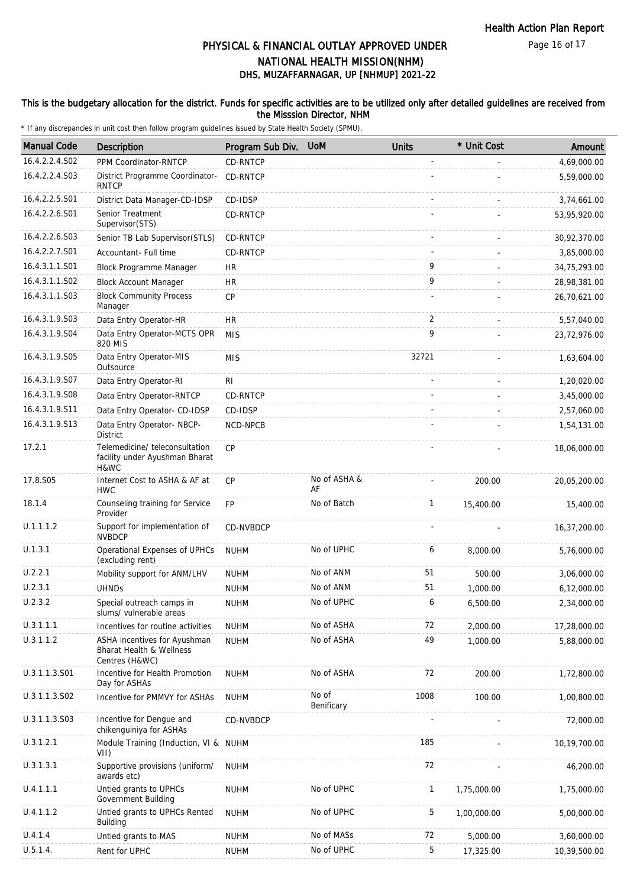### This is the budgetary allocation for the district. Funds for specific activities are to be utilized only after detailed guidelines are received from the Misssion Director, NHM

| <b>Manual Code</b> | Description                                                                | Program Sub Div. | <b>UoM</b>          | <b>Units</b> | * Unit Cost | Amount       |
|--------------------|----------------------------------------------------------------------------|------------------|---------------------|--------------|-------------|--------------|
| 16.4.2.2.4.S02     | PPM Coordinator-RNTCP                                                      | CD-RNTCP         |                     |              |             | 4,69,000.00  |
| 16.4.2.2.4.S03     | District Programme Coordinator-<br><b>RNTCP</b>                            | CD-RNTCP         |                     |              |             | 5,59,000.00  |
| 16.4.2.2.5.S01     | District Data Manager-CD-IDSP                                              | CD-IDSP          |                     |              |             | 3,74,661.00  |
| 16.4.2.2.6.S01     | Senior Treatment<br>Supervisor(STS)                                        | CD-RNTCP         |                     |              |             | 53,95,920.00 |
| 16.4.2.2.6.S03     | Senior TB Lab Supervisor (STLS)                                            | <b>CD-RNTCP</b>  |                     |              |             | 30,92,370.00 |
| 16.4.2.2.7.S01     | Accountant- Full time                                                      | CD-RNTCP         |                     |              |             | 3,85,000.00  |
| 16.4.3.1.1.S01     | Block Programme Manager                                                    | <b>HR</b>        |                     | 9            |             | 34,75,293.00 |
| 16.4.3.1.1.S02     | <b>Block Account Manager</b>                                               | <b>HR</b>        |                     | 9            |             | 28,98,381.00 |
| 16.4.3.1.1.S03     | <b>Block Community Process</b><br>Manager                                  | <b>CP</b>        |                     |              |             | 26,70,621.00 |
| 16.4.3.1.9.S03     | Data Entry Operator-HR                                                     | <b>HR</b>        |                     | 2            |             | 5,57,040.00  |
| 16.4.3.1.9.S04     | Data Entry Operator-MCTS OPR<br>820 MIS                                    | <b>MIS</b>       |                     | 9            |             | 23,72,976.00 |
| 16.4.3.1.9.S05     | Data Entry Operator-MIS<br>Outsource                                       | <b>MIS</b>       |                     | 32721        |             | 1,63,604.00  |
| 16.4.3.1.9.S07     | Data Entry Operator-RI                                                     | R <sub>l</sub>   |                     |              |             | 1,20,020.00  |
| 16.4.3.1.9.S08     | Data Entry Operator-RNTCP                                                  | CD-RNTCP         |                     |              |             | 3,45,000.00  |
| 16.4.3.1.9.S11     | Data Entry Operator- CD-IDSP                                               | CD-IDSP          |                     |              |             | 2,57,060.00  |
| 16.4.3.1.9.S13     | Data Entry Operator- NBCP-<br>District                                     | <b>NCD-NPCB</b>  |                     |              |             | 1,54,131.00  |
| 17.2.1             | Telemedicine/ teleconsultation<br>facility under Ayushman Bharat<br>H&WC   | <b>CP</b>        |                     |              |             | 18,06,000.00 |
| 17.8.S05           | Internet Cost to ASHA & AF at<br><b>HWC</b>                                | <b>CP</b>        | No of ASHA &<br>AF  |              | 200.00      | 20,05,200.00 |
| 18.1.4             | Counseling training for Service<br>Provider                                | <b>FP</b>        | No of Batch         | $\mathbf{1}$ | 15,400.00   | 15,400.00    |
| U.1.1.1.2          | Support for implementation of<br><b>NVBDCP</b>                             | CD-NVBDCP        |                     |              |             | 16,37,200.00 |
| U.1.3.1            | Operational Expenses of UPHCs<br>(excluding rent)                          | <b>NUHM</b>      | No of UPHC          | 6            | 8,000.00    | 5,76,000.00  |
| U.2.2.1            | Mobility support for ANM/LHV                                               | <b>NUHM</b>      | No of ANM           | 51           | 500.00      | 3,06,000.00  |
| U.2.3.1            | <b>UHNDs</b>                                                               | <b>NUHM</b>      | No of ANM           | 51           | 1.000.00    | 6,12,000.00  |
| U.2.3.2            | Special outreach camps in<br>slums/ vulnerable areas                       | <b>NUHM</b>      | No of UPHC          | 6            | 6,500.00    | 2,34,000.00  |
| U.3.1.1.1          | Incentives for routine activities                                          | <b>NUHM</b>      | No of ASHA          | 72           | 2,000.00    | 17,28,000.00 |
| U.3.1.1.2          | ASHA incentives for Ayushman<br>Bharat Health & Wellness<br>Centres (H&WC) | <b>NUHM</b>      | No of ASHA          | 49           | 1,000.00    | 5,88,000.00  |
| U.3.1.1.3.S01      | Incentive for Health Promotion<br>Day for ASHAs                            | <b>NUHM</b>      | No of ASHA          | 72           | 200.00      | 1,72,800.00  |
| U.3.1.1.3.S02      | Incentive for PMMVY for ASHAs                                              | <b>NUHM</b>      | No of<br>Benificary | 1008         | 100.00      | 1,00,800.00  |
| U.3.1.1.3.S03      | Incentive for Dengue and<br>chikenguiniya for ASHAs                        | CD-NVBDCP        |                     |              |             | 72,000.00    |
| U.3.1.2.1          | Module Training (Induction, VI & NUHM<br>VII)                              |                  |                     | 185          |             | 10,19,700.00 |
| U.3.1.3.1          | Supportive provisions (uniform/<br>awards etc)                             | <b>NUHM</b>      |                     | 72           |             | 46,200.00    |
| U.4.1.1.1          | Untied grants to UPHCs<br>Government Building                              | <b>NUHM</b>      | No of UPHC          | 1            | 1,75,000.00 | 1,75,000.00  |
| U.4.1.1.2          | Untied grants to UPHCs Rented<br><b>Building</b>                           | <b>NUHM</b>      | No of UPHC          | 5            | 1,00,000.00 | 5,00,000.00  |
| U.4.1.4            | Untied grants to MAS                                                       | <b>NUHM</b>      | No of MASs          | 72           | 5,000.00    | 3,60,000.00  |
| U.5.1.4.           | Rent for UPHC                                                              | <b>NUHM</b>      | No of UPHC          | 5            | 17,325.00   | 10,39,500.00 |